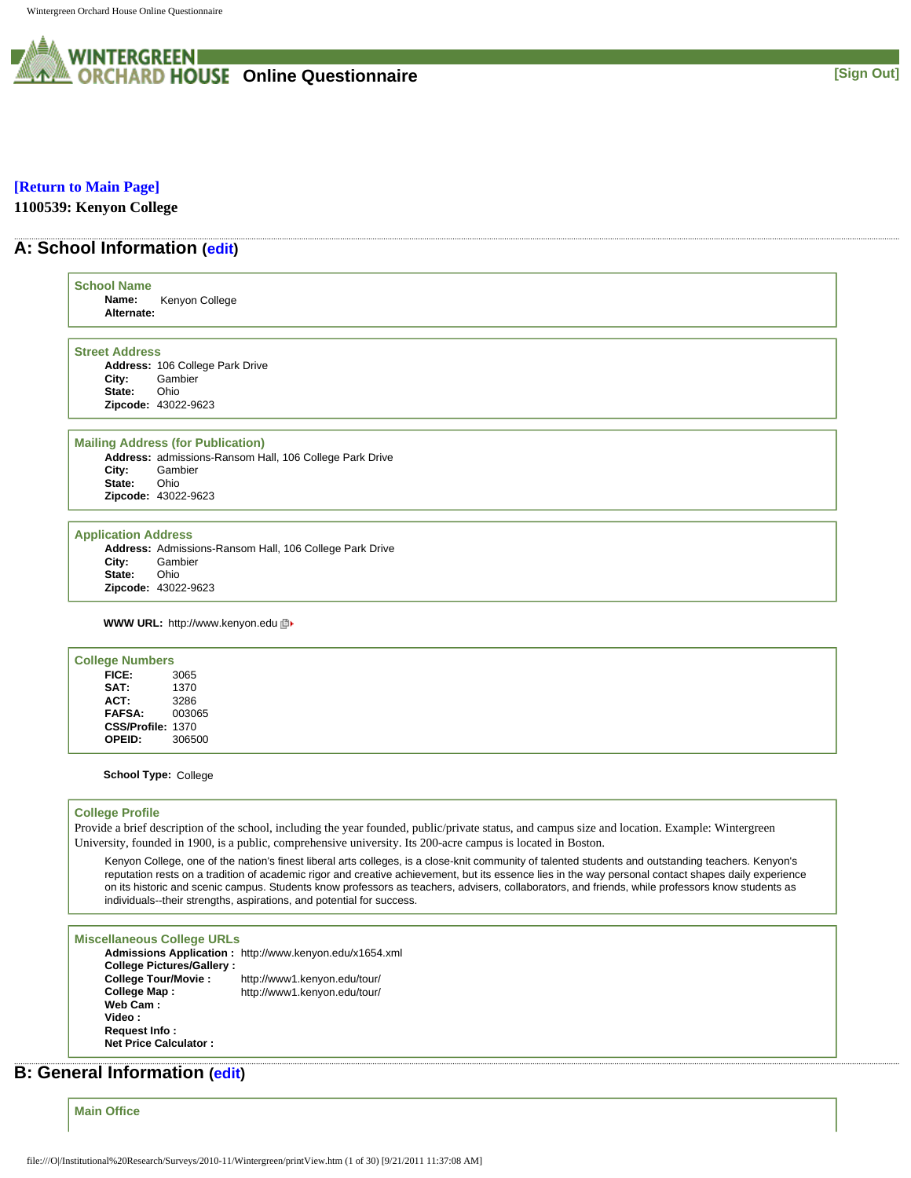

#### **[\[Return to Main Page\]](http://survey.wgoh.com/secure/contents.htm)**

**1100539: Kenyon College** 

# **A: School Information [\(edit](http://survey.wgoh.com/secure/sectionAView.htm))**

| <b>School Name</b><br>Name:<br>Alternate:     | Kenyon College                                                                                    |
|-----------------------------------------------|---------------------------------------------------------------------------------------------------|
| <b>Street Address</b>                         |                                                                                                   |
|                                               | Address: 106 College Park Drive                                                                   |
| City:                                         | Gambier                                                                                           |
| State:                                        | Ohio                                                                                              |
|                                               | Zipcode: 43022-9623                                                                               |
|                                               | <b>Mailing Address (for Publication)</b>                                                          |
|                                               | Address: admissions-Ransom Hall, 106 College Park Drive                                           |
| City:                                         | Gambier                                                                                           |
| State:                                        | Ohio                                                                                              |
|                                               | Zipcode: 43022-9623                                                                               |
| <b>Application Address</b><br>City:<br>State: | Address: Admissions-Ransom Hall, 106 College Park Drive<br>Gambier<br>Ohio<br>Zipcode: 43022-9623 |
|                                               | <b>WWW URL: http://www.kenyon.edu</b> 回▶                                                          |
| <b>College Numbers</b>                        |                                                                                                   |
| FICE:                                         | 3065                                                                                              |
| SAT:                                          | 1370                                                                                              |
| ACT:                                          | 3286                                                                                              |
| FAFSA:                                        | 003065                                                                                            |
| CSS/Profile: 1370                             |                                                                                                   |
| OPEID:                                        | 306500                                                                                            |

#### **College Profile**

Provide a brief description of the school, including the year founded, public/private status, and campus size and location. Example: Wintergreen University, founded in 1900, is a public, comprehensive university. Its 200-acre campus is located in Boston.

Kenyon College, one of the nation's finest liberal arts colleges, is a close-knit community of talented students and outstanding teachers. Kenyon's reputation rests on a tradition of academic rigor and creative achievement, but its essence lies in the way personal contact shapes daily experience on its historic and scenic campus. Students know professors as teachers, advisers, collaborators, and friends, while professors know students as individuals--their strengths, aspirations, and potential for success.

#### **Miscellaneous College URLs**

**Admissions Application :** http://www.kenyon.edu/x1654.xml **College Pictures/Gallery : College Tour/Movie :** http://www1.kenyon.edu/tour/ **College Map :** http://www1.kenyon.edu/tour/ **Web Cam : Video : Request Info : Net Price Calculator :**

# **B: General Information ([edit\)](http://survey.wgoh.com/secure/sectionBView.htm)**

**Main Office**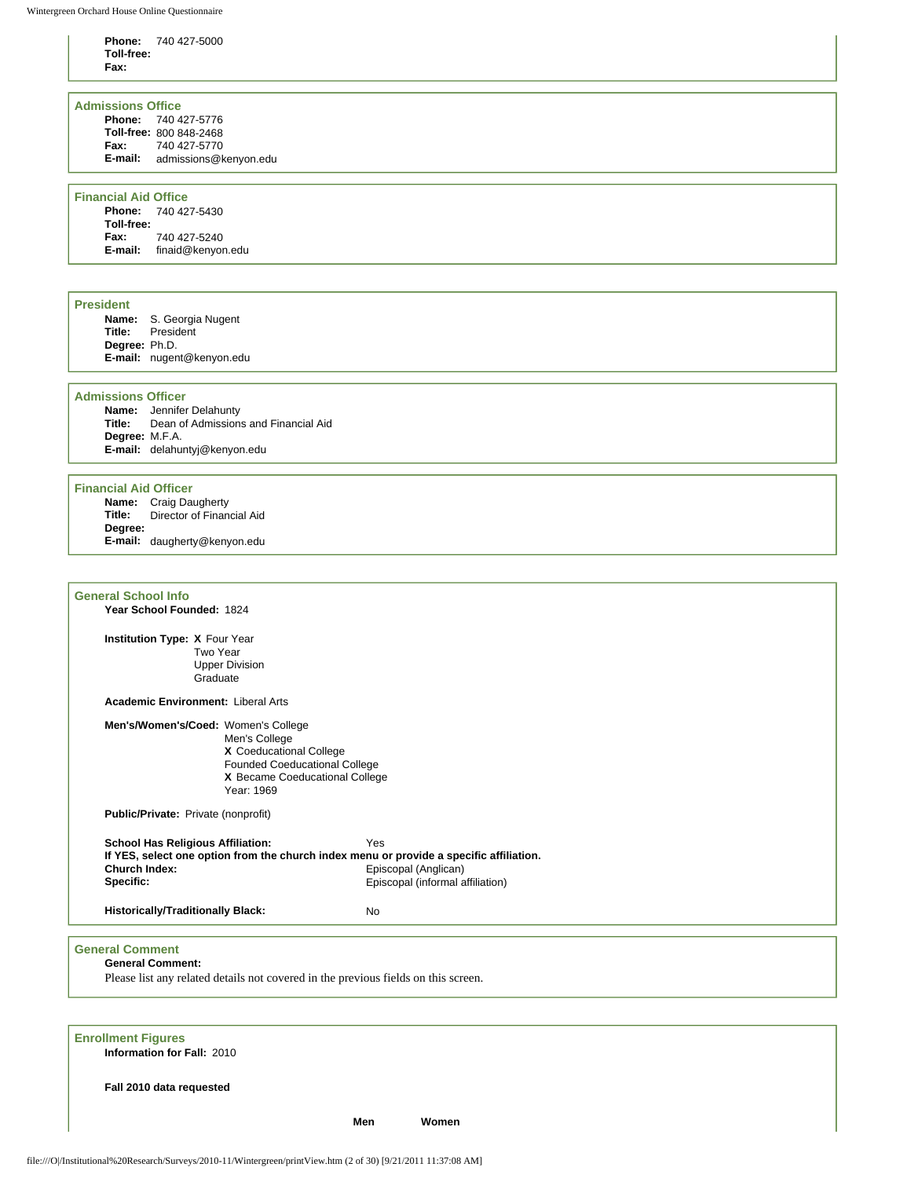**Phone:** 740 427-5000 **Toll-free: Fax:**

### **Admissions Office**

| <b>Phone: 740 427-5776</b> |
|----------------------------|
| Toll-free: 800 848-2468    |
| 740 427-5770               |
| admissions@kenyon.edu      |
|                            |

### **Financial Aid Office**

**Phone:** 740 427-5430 **Toll-free: Fax:** 740 427-5240 **E-mail:** finaid@kenyon.edu

#### **President**

| Name:         | S. Georgia Nugent         |
|---------------|---------------------------|
| Title:        | President                 |
| Degree: Ph.D. |                           |
|               | E-mail: nugent@kenyon.edu |

#### **Admissions Officer**

**Name:** Jennifer Delahunty **Title:** Dean of Admissions and Financial Aid **Degree:** M.F.A. **E-mail:** delahuntyj@kenyon.edu

#### **Financial Aid Officer**

**Name:** Craig Daugherty **Title:** Director of Financial Aid **Degree: E-mail:** daugherty@kenyon.edu

| <b>General School Info</b>                                             |                                                                                                                                  |                                                                                                                                                            |  |
|------------------------------------------------------------------------|----------------------------------------------------------------------------------------------------------------------------------|------------------------------------------------------------------------------------------------------------------------------------------------------------|--|
| Year School Founded: 1824                                              |                                                                                                                                  |                                                                                                                                                            |  |
| Institution Type: X Four Year<br>Two Year<br>Graduate                  | <b>Upper Division</b>                                                                                                            |                                                                                                                                                            |  |
| <b>Academic Environment: Liberal Arts</b>                              |                                                                                                                                  |                                                                                                                                                            |  |
| Men's/Women's/Coed: Women's College                                    | Men's College<br>X Coeducational College<br><b>Founded Coeducational College</b><br>X Became Coeducational College<br>Year: 1969 |                                                                                                                                                            |  |
| Public/Private: Private (nonprofit)                                    |                                                                                                                                  |                                                                                                                                                            |  |
| <b>School Has Religious Affiliation:</b><br>Church Index:<br>Specific: |                                                                                                                                  | Yes<br>If YES, select one option from the church index menu or provide a specific affiliation.<br>Episcopal (Anglican)<br>Episcopal (informal affiliation) |  |
| <b>Historically/Traditionally Black:</b>                               |                                                                                                                                  | <b>No</b>                                                                                                                                                  |  |
| <b>General Comment</b><br><b>General Comment:</b>                      |                                                                                                                                  | Please list any related details not covered in the previous fields on this screen.                                                                         |  |
| <b>Enrollment Figures</b>                                              |                                                                                                                                  |                                                                                                                                                            |  |

**Information for Fall:** 2010

**Fall 2010 data requested**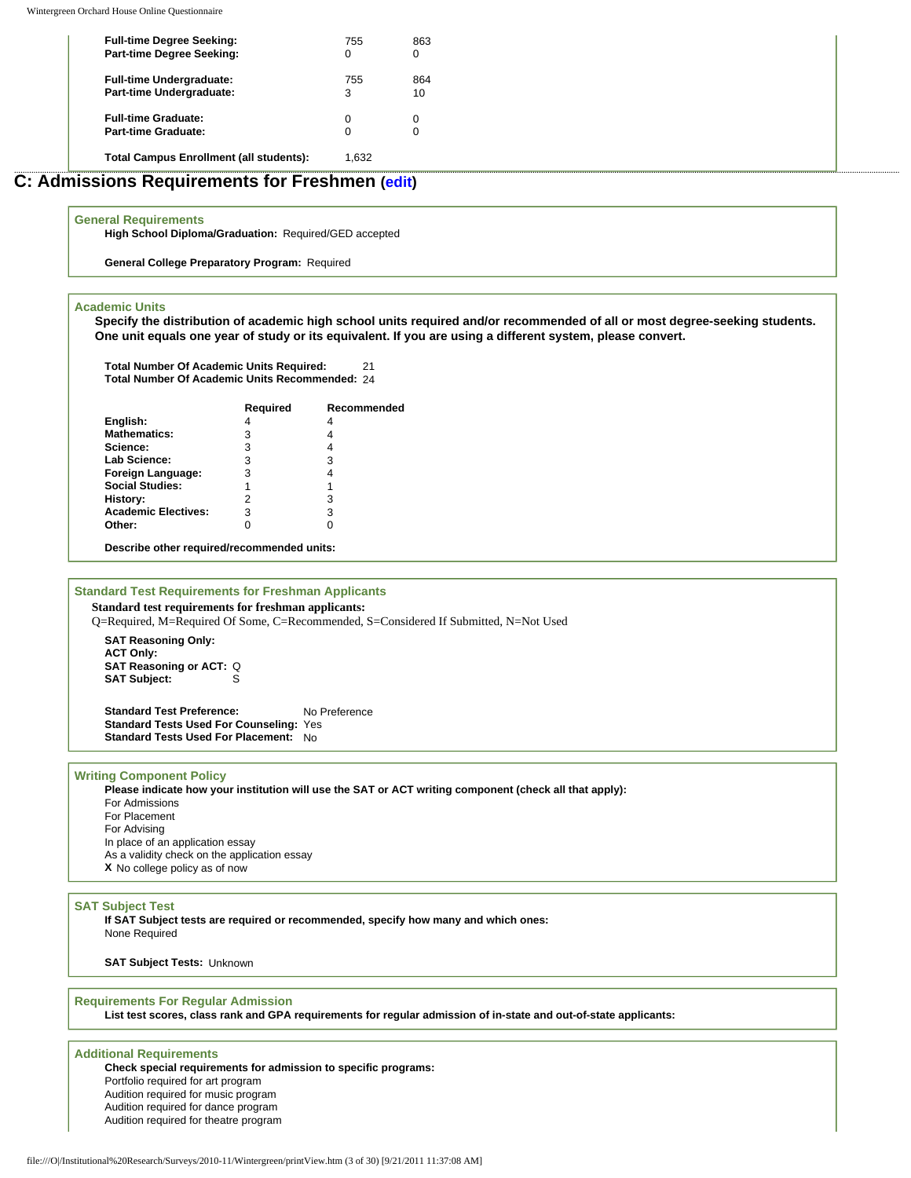| <b>Full-time Degree Seeking:</b><br><b>Part-time Degree Seeking:</b> | 755      | 863<br>0  |  |  |
|----------------------------------------------------------------------|----------|-----------|--|--|
| <b>Full-time Undergraduate:</b><br>Part-time Undergraduate:          | 755<br>3 | 864<br>10 |  |  |
| <b>Full-time Graduate:</b><br><b>Part-time Graduate:</b>             |          | 0<br>0    |  |  |
| <b>Total Campus Enrollment (all students):</b>                       | 1.632    |           |  |  |

# **C: Admissions Requirements for Freshmen [\(edit\)](http://survey.wgoh.com/secure/sectionCView.htm)**

#### **General Requirements**

**High School Diploma/Graduation:** Required/GED accepted

**General College Preparatory Program:** Required

#### **Academic Units**

**Specify the distribution of academic high school units required and/or recommended of all or most degree-seeking students. One unit equals one year of study or its equivalent. If you are using a different system, please convert.** 

**Total Number Of Academic Units Required:** 21 **Total Number Of Academic Units Recommended:** 24

|                            | Required | Recommended |
|----------------------------|----------|-------------|
| English:                   | 4        | 4           |
| <b>Mathematics:</b>        | 3        |             |
| Science:                   | 3        |             |
| <b>Lab Science:</b>        | 3        | 3           |
| Foreign Language:          | 3        |             |
| <b>Social Studies:</b>     |          |             |
| History:                   |          | 3           |
| <b>Academic Electives:</b> | 3        | 3           |
| Other:                     |          |             |
|                            |          |             |

**Describe other required/recommended units:**

### **Standard Test Requirements for Freshman Applicants**

**Standard test requirements for freshman applicants:**

Q=Required, M=Required Of Some, C=Recommended, S=Considered If Submitted, N=Not Used

**SAT Reasoning Only: ACT Only: SAT Reasoning or ACT:** Q **SAT Subject:** 

**Standard Test Preference:** No Preference **Standard Tests Used For Counseling:** Yes **Standard Tests Used For Placement:** No

#### **Writing Component Policy**

**Please indicate how your institution will use the SAT or ACT writing component (check all that apply):** For Admissions For Placement For Advising In place of an application essay As a validity check on the application essay **X** No college policy as of now

#### **SAT Subject Test**

**If SAT Subject tests are required or recommended, specify how many and which ones:**  None Required

**SAT Subject Tests:** Unknown

#### **Requirements For Regular Admission**

**List test scores, class rank and GPA requirements for regular admission of in-state and out-of-state applicants:** 

### **Additional Requirements**

**Check special requirements for admission to specific programs:** Portfolio required for art program Audition required for music program Audition required for dance program Audition required for theatre program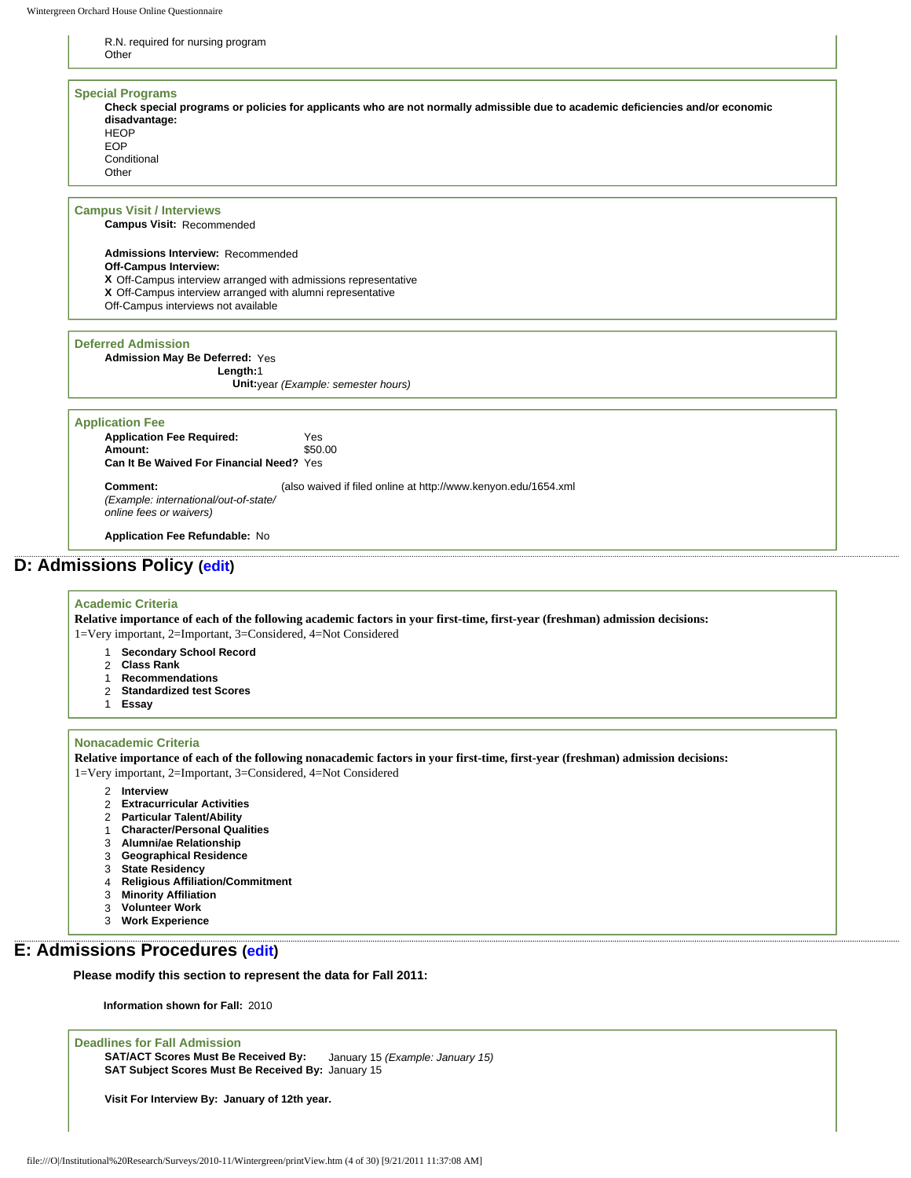#### R.N. required for nursing program **Other**

| <b>Special Programs</b>                                                                                                        |
|--------------------------------------------------------------------------------------------------------------------------------|
| Check special programs or policies for applicants who are not normally admissible due to academic deficiencies and/or economic |
| disadvantage:                                                                                                                  |
| <b>HEOP</b>                                                                                                                    |
| EOP                                                                                                                            |
| Conditional                                                                                                                    |
| Other                                                                                                                          |

#### **Campus Visit / Interviews**

**Campus Visit:** Recommended

**Admissions Interview:** Recommended **Off-Campus Interview: X** Off-Campus interview arranged with admissions representative **X** Off-Campus interview arranged with alumni representative Off-Campus interviews not available

#### **Deferred Admission**

**Admission May Be Deferred:** Yes **Length:**1 **Unit:**year *(Example: semester hours)*

#### **Application Fee**

**Application Fee Required:** Yes **Amount:** S50.00 Amount: **Can It Be Waived For Financial Need?** Yes

**Comment:** *(Example: international/out-of-state/ online fees or waivers)* (also waived if filed online at http://www.kenyon.edu/1654.xml

**Application Fee Refundable:** No

# **D: Admissions Policy ([edit](http://survey.wgoh.com/secure/sectionDView.htm))**

#### **Academic Criteria**

**Relative importance of each of the following academic factors in your first-time, first-year (freshman) admission decisions:** 1=Very important, 2=Important, 3=Considered, 4=Not Considered

- 1 **Secondary School Record**
- 2 **Class Rank**
- 
- 1 **Recommendations** 2 **Standardized test Scores**
- 1 **Essay**

#### **Nonacademic Criteria**

**Relative importance of each of the following nonacademic factors in your first-time, first-year (freshman) admission decisions:** 1=Very important, 2=Important, 3=Considered, 4=Not Considered

- 2 **Interview**
- 2 **Extracurricular Activities**
- 2 **Particular Talent/Ability**
- 1 **Character/Personal Qualities**
- 
- 3 **Alumni/ae Relationship** 3 **Geographical Residence**
- 
- 3 **State Residency**
- 4 **Religious Affiliation/Commitment Minority Affiliation**
- 3 **Volunteer Work**
- 3 **Work Experience**

# **E: Admissions Procedures [\(edit\)](http://survey.wgoh.com/secure/sectionEView.htm)**

**Please modify this section to represent the data for Fall 2011:** 

**Information shown for Fall:** 2010

### **Deadlines for Fall Admission**

**SAT/ACT Scores Must Be Received By:** January 15 *(Example: January 15)* **SAT Subject Scores Must Be Received By:** January 15

**Visit For Interview By: January of 12th year.**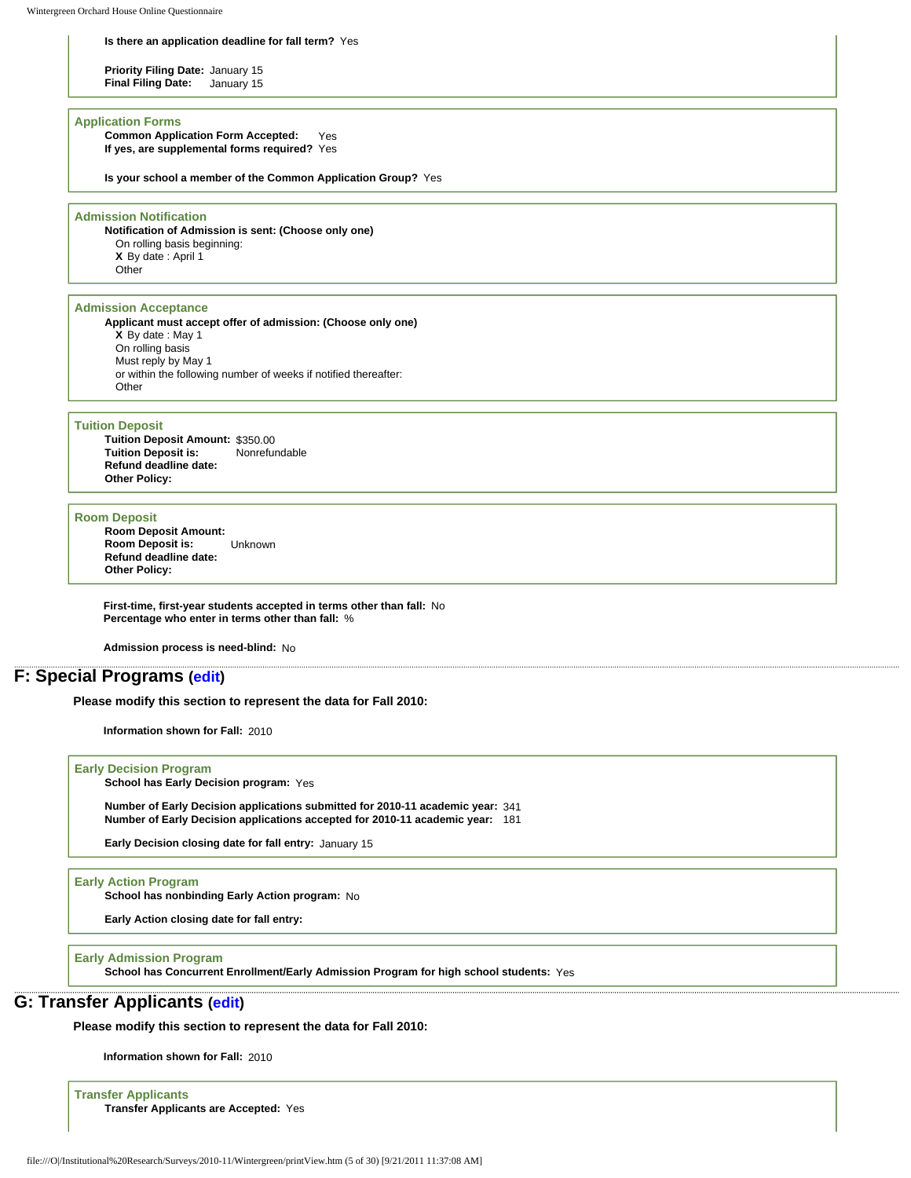#### **Is there an application deadline for fall term?** Yes

**Priority Filing Date: January 15<br><b>Final Filing Date:** January 15 **Final Filing Date:** 

#### **Application Forms**

**Common Application Form Accepted:** Yes **If yes, are supplemental forms required?** Yes

**Is your school a member of the Common Application Group?** Yes

#### **Admission Notification**

**Notification of Admission is sent: (Choose only one)** On rolling basis beginning: **X** By date : April 1 **Other** 

### **Admission Acceptance**

**Applicant must accept offer of admission: (Choose only one) X** By date : May 1 On rolling basis Must reply by May 1 or within the following number of weeks if notified thereafter: **Other** 

#### **Tuition Deposit**

**Tuition Deposit Amount:** \$350.00 **Tuition Deposit is: Refund deadline date: Other Policy:**

#### **Room Deposit**

**Room Deposit Amount: Room Deposit is:** Unknown **Refund deadline date: Other Policy:**

**First-time, first-year students accepted in terms other than fall:** No **Percentage who enter in terms other than fall:** %

**Admission process is need-blind:** No

### **F: Special Programs [\(edit\)](http://survey.wgoh.com/secure/sectionFView.htm)**

**Please modify this section to represent the data for Fall 2010:** 

**Information shown for Fall:** 2010

#### **Early Decision Program**

**School has Early Decision program:** Yes

**Number of Early Decision applications submitted for 2010-11 academic year:** 341 **Number of Early Decision applications accepted for 2010-11 academic year:** 181

**Early Decision closing date for fall entry:** January 15

#### **Early Action Program**

**School has nonbinding Early Action program:** No

**Early Action closing date for fall entry:**

#### **Early Admission Program**

**School has Concurrent Enrollment/Early Admission Program for high school students:** Yes

# **G: Transfer Applicants [\(edit\)](http://survey.wgoh.com/secure/sectionGView.htm)**

**Please modify this section to represent the data for Fall 2010:** 

**Information shown for Fall:** 2010

**Transfer Applicants Transfer Applicants are Accepted:** Yes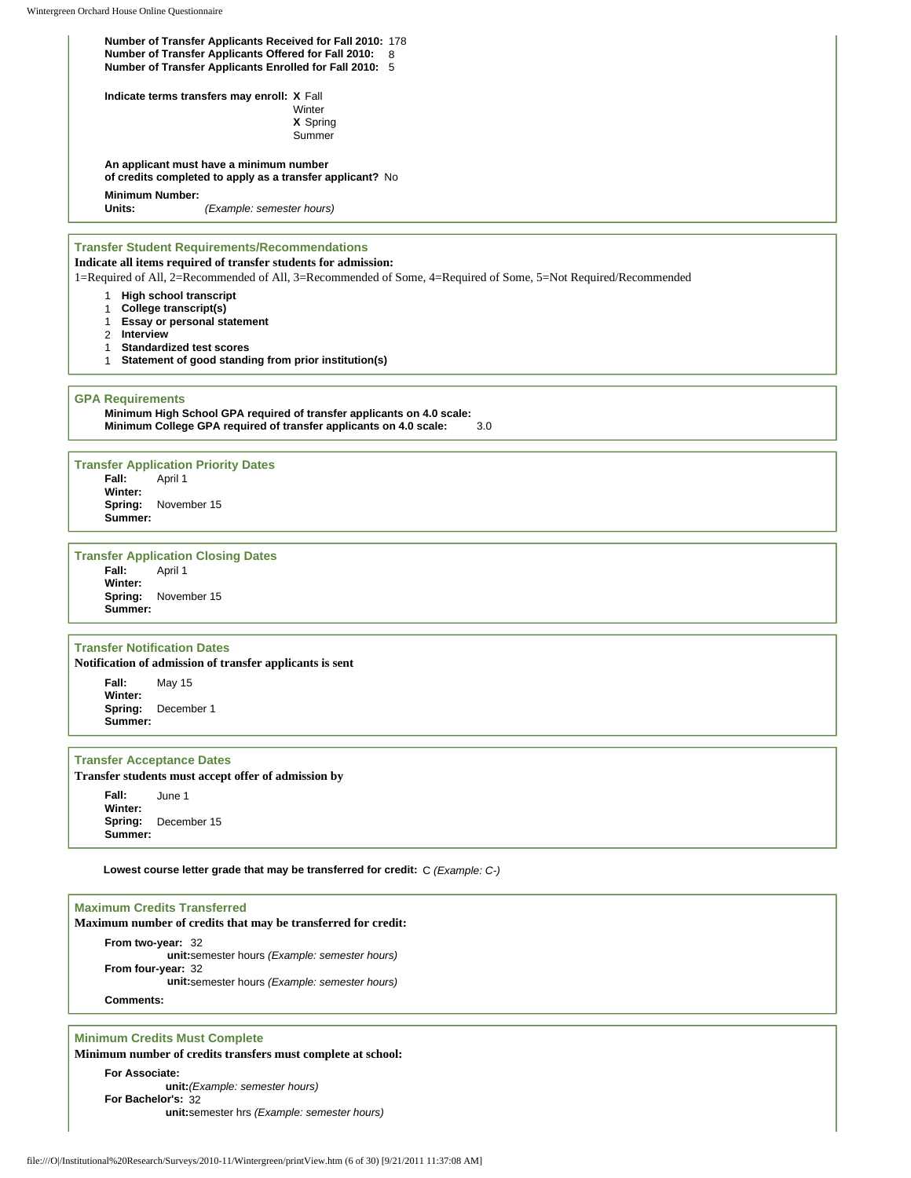**Number of Transfer Applicants Received for Fall 2010:** 178 **Number of Transfer Applicants Offered for Fall 2010:** 8 **Number of Transfer Applicants Enrolled for Fall 2010:** 5

**Indicate terms transfers may enroll: X** Fall

Winter **X** Spring Summer

**An applicant must have a minimum number of credits completed to apply as a transfer applicant?** No

# **Minimum Number:**

**Units:** *(Example: semester hours)*

#### **Transfer Student Requirements/Recommendations**

**Indicate all items required of transfer students for admission:**

1=Required of All, 2=Recommended of All, 3=Recommended of Some, 4=Required of Some, 5=Not Required/Recommended

- 1 **High school transcript**
- 1 **College transcript(s)**
- 1 **Essay or personal statement**
- 2 **Interview**
- 1 **Standardized test scores**
- 1 **Statement of good standing from prior institution(s)**

#### **GPA Requirements**

**Minimum High School GPA required of transfer applicants on 4.0 scale: Minimum College GPA required of transfer applicants on 4.0 scale:** 3.0

**Transfer Application Priority Dates Fall:** April 1 **Winter: Spring:** November 15 **Summer:**

# **Transfer Application Closing Dates**<br>**Fall:** April 1

**Fall:** April 1 **Winter: Spring:** November 15 **Summer:**

#### **Transfer Notification Dates**

**Notification of admission of transfer applicants is sent**

**Fall:** May 15 **Winter: Spring:** December 1 **Summer:**

#### **Transfer Acceptance Dates**

**Transfer students must accept offer of admission by**

**Fall:** June 1 **Winter: Spring:** December 15 **Summer:**

**Lowest course letter grade that may be transferred for credit:** C *(Example: C-)*

## **Maximum Credits Transferred Maximum number of credits that may be transferred for credit: From two-year:** 32 **unit:**semester hours *(Example: semester hours)* **From four-year:** 32 **unit:**semester hours *(Example: semester hours)* **Comments:**

### **Minimum Credits Must Complete**

**Minimum number of credits transfers must complete at school:**

**For Associate: unit:***(Example: semester hours)* **For Bachelor's:** 32 **unit:**semester hrs *(Example: semester hours)*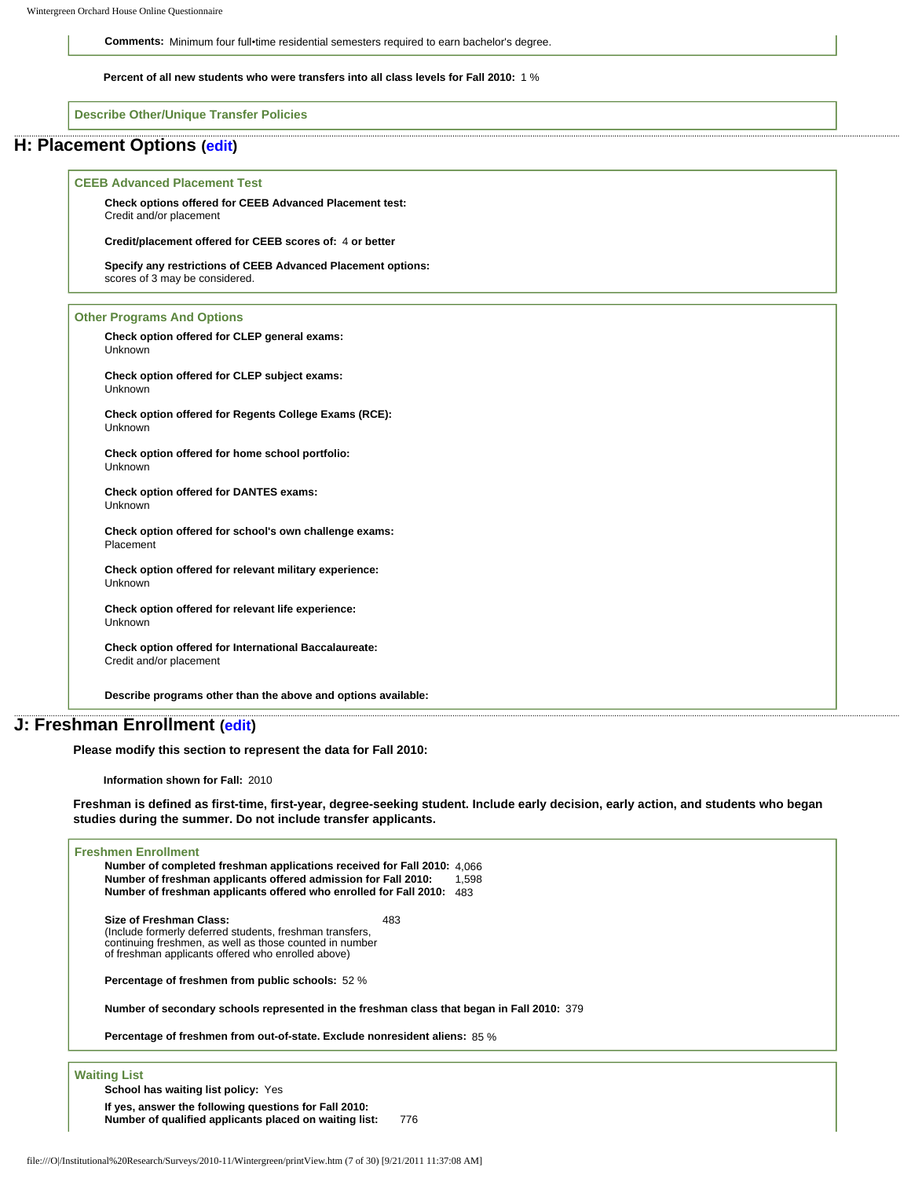**Comments:** Minimum four full•time residential semesters required to earn bachelor's degree.

**Percent of all new students who were transfers into all class levels for Fall 2010:** 1 %

**Describe Other/Unique Transfer Policies**

### **H: Placement Options ([edit](http://survey.wgoh.com/secure/sectionHView.htm))**

#### **CEEB Advanced Placement Test**

**Check options offered for CEEB Advanced Placement test:** Credit and/or placement

**Credit/placement offered for CEEB scores of:** 4 **or better**

**Specify any restrictions of CEEB Advanced Placement options:**  scores of 3 may be considered.

#### **Other Programs And Options**

**Check option offered for CLEP general exams:** Unknown

**Check option offered for CLEP subject exams:** Unknown

**Check option offered for Regents College Exams (RCE):** Unknown

**Check option offered for home school portfolio:** Unknown

**Check option offered for DANTES exams:** Unknown

**Check option offered for school's own challenge exams:** Placement

**Check option offered for relevant military experience:** Unknown

**Check option offered for relevant life experience:** Unknown

**Check option offered for International Baccalaureate:** Credit and/or placement

**Describe programs other than the above and options available:** 

# **J: Freshman Enrollment [\(edit\)](http://survey.wgoh.com/secure/sectionJView.htm)**

**Please modify this section to represent the data for Fall 2010:** 

**Information shown for Fall:** 2010

**Freshman is defined as first-time, first-year, degree-seeking student. Include early decision, early action, and students who began studies during the summer. Do not include transfer applicants.** 

#### **Freshmen Enrollment**

**Number of completed freshman applications received for Fall 2010:** 4,066 **Number of freshman applicants offered admission for Fall 2010:** 1,598 **Number of freshman applicants offered who enrolled for Fall 2010:** 483

**Size of Freshman Class:**  (Include formerly deferred students, freshman transfers, continuing freshmen, as well as those counted in number of freshman applicants offered who enrolled above) 483

**Percentage of freshmen from public schools:** 52 %

**Number of secondary schools represented in the freshman class that began in Fall 2010:** 379

**Percentage of freshmen from out-of-state. Exclude nonresident aliens:** 85 %

**Waiting List**

**School has waiting list policy:** Yes

**If yes, answer the following questions for Fall 2010: Number of qualified applicants placed on waiting list:** 776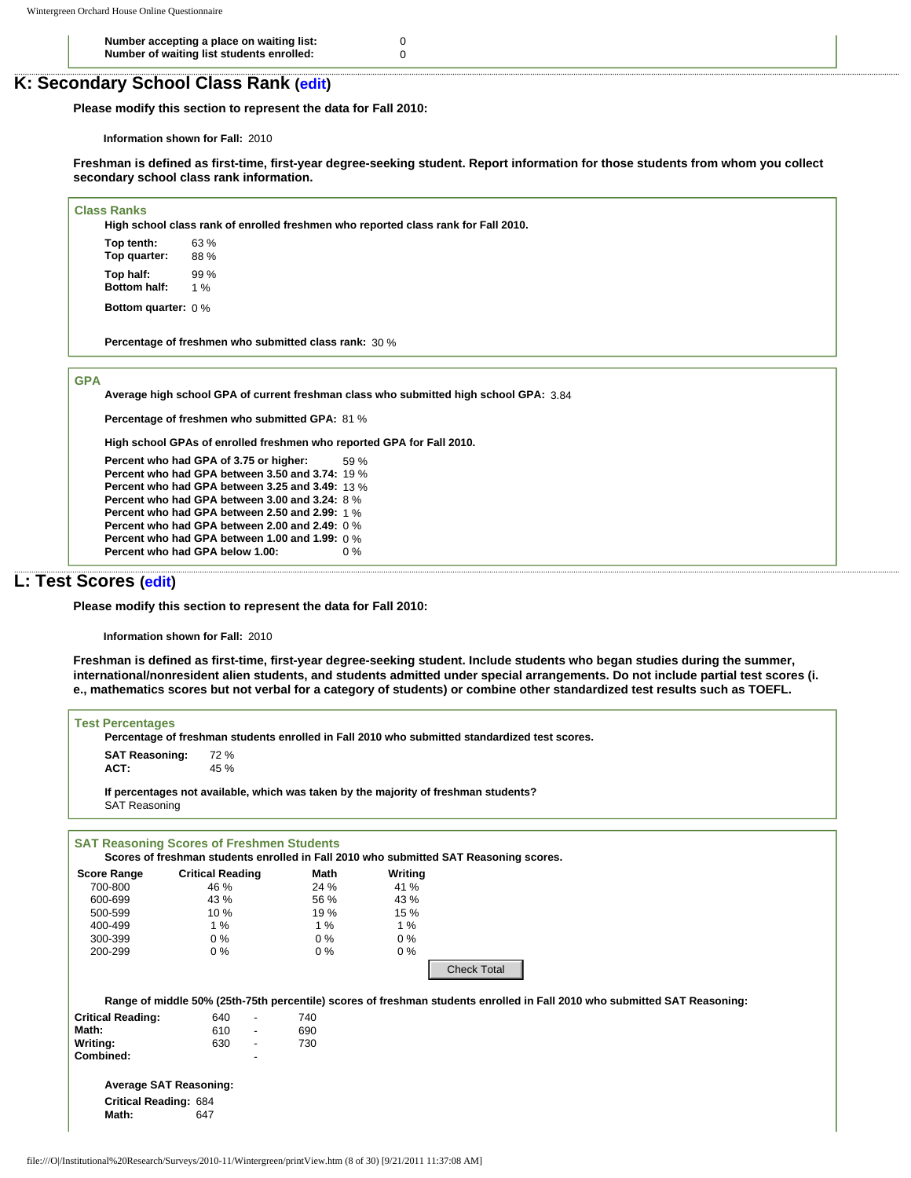**Number accepting a place on waiting list:** 0 **Number of waiting list students enrolled:** 0

# **K: Secondary School Class Rank ([edit](http://survey.wgoh.com/secure/sectionKView.htm))**

**Please modify this section to represent the data for Fall 2010:** 

**Information shown for Fall:** 2010

**Freshman is defined as first-time, first-year degree-seeking student. Report information for those students from whom you collect secondary school class rank information.** 

**Class Ranks**

**High school class rank of enrolled freshmen who reported class rank for Fall 2010.**

**Top tenth:** 63 % **Top quarter:** 88 % **Top half:** 99 %<br>**Bottom half:** 1 % **Bottom half: Bottom quarter:** 0 %

**Percentage of freshmen who submitted class rank:** 30 %

**GPA**

**Average high school GPA of current freshman class who submitted high school GPA:** 3.84

**Percentage of freshmen who submitted GPA:** 81 %

**High school GPAs of enrolled freshmen who reported GPA for Fall 2010.**

**Percent who had GPA of 3.75 or higher:** 59 % **Percent who had GPA between 3.50 and 3.74:** 19 % **Percent who had GPA between 3.25 and 3.49:** 13 % **Percent who had GPA between 3.00 and 3.24:** 8 % **Percent who had GPA between 2.50 and 2.99:** 1 % **Percent who had GPA between 2.00 and 2.49:** 0 % **Percent who had GPA between 1.00 and 1.99:** 0 % **Percent who had GPA below 1.00:** 0 %

# **L: Test Scores [\(edit](http://survey.wgoh.com/secure/sectionLView.htm))**

**Please modify this section to represent the data for Fall 2010:** 

**Information shown for Fall:** 2010

**Freshman is defined as first-time, first-year degree-seeking student. Include students who began studies during the summer, international/nonresident alien students, and students admitted under special arrangements. Do not include partial test scores (i. e., mathematics scores but not verbal for a category of students) or combine other standardized test results such as TOEFL.** 

| <b>SAT Reasoning:</b><br>ACT: | 72 %<br>45 %                                                                                                              |       |         |                    |  |  |
|-------------------------------|---------------------------------------------------------------------------------------------------------------------------|-------|---------|--------------------|--|--|
| <b>SAT Reasoning</b>          | If percentages not available, which was taken by the majority of freshman students?                                       |       |         |                    |  |  |
|                               | <b>SAT Reasoning Scores of Freshmen Students</b>                                                                          |       |         |                    |  |  |
|                               | Scores of freshman students enrolled in Fall 2010 who submitted SAT Reasoning scores.                                     |       |         |                    |  |  |
| <b>Score Range</b>            | <b>Critical Reading</b>                                                                                                   | Math  | Writing |                    |  |  |
| 700-800                       | 46 %                                                                                                                      | 24 %  | 41 %    |                    |  |  |
| 600-699                       | 43 %                                                                                                                      | 56 %  | 43 %    |                    |  |  |
| 500-599                       | 10 %                                                                                                                      | 19%   | 15 %    |                    |  |  |
| 400-499                       | 1%                                                                                                                        | 1%    | 1%      |                    |  |  |
| 300-399                       | $0\%$                                                                                                                     | $0\%$ | $0\%$   |                    |  |  |
| 200-299                       | $0\%$                                                                                                                     | 0%    | $0\%$   |                    |  |  |
|                               |                                                                                                                           |       |         | <b>Check Total</b> |  |  |
|                               | Range of middle 50% (25th-75th percentile) scores of freshman students enrolled in Fall 2010 who submitted SAT Reasoning: |       |         |                    |  |  |
| <b>Critical Reading:</b>      | 640<br>$\blacksquare$                                                                                                     | 740   |         |                    |  |  |
| Math:                         | 610<br>$\mathcal{L}_{\mathcal{A}}$                                                                                        | 690   |         |                    |  |  |
| Writing:                      | 630<br>$\blacksquare$                                                                                                     | 730   |         |                    |  |  |
| Combined:                     |                                                                                                                           |       |         |                    |  |  |
|                               | <b>Average SAT Reasoning:</b>                                                                                             |       |         |                    |  |  |
| <b>Critical Reading: 684</b>  |                                                                                                                           |       |         |                    |  |  |
| Math:                         | 647                                                                                                                       |       |         |                    |  |  |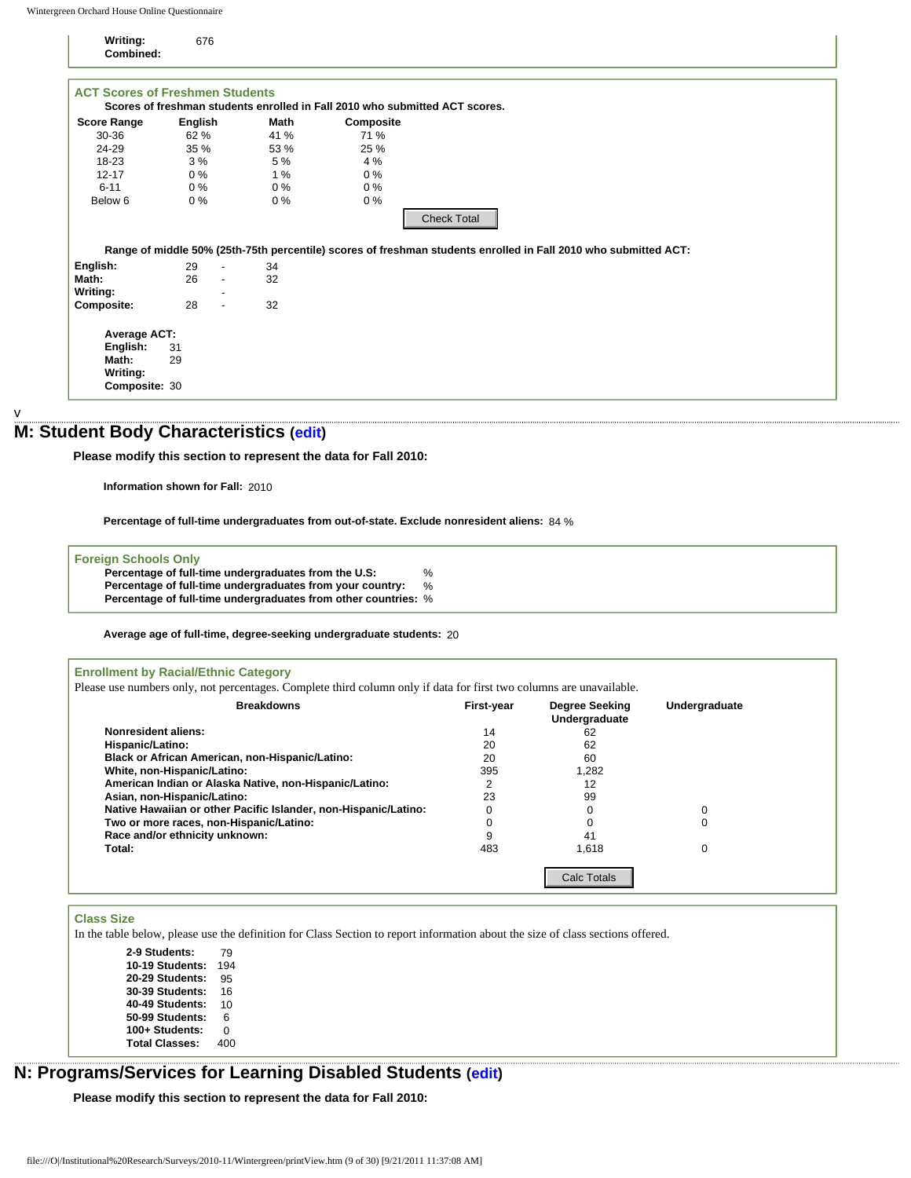| Writing:<br>Combined:                  | 676      |                          |       |                                                                                                                 |  |
|----------------------------------------|----------|--------------------------|-------|-----------------------------------------------------------------------------------------------------------------|--|
| <b>ACT Scores of Freshmen Students</b> |          |                          |       | Scores of freshman students enrolled in Fall 2010 who submitted ACT scores.                                     |  |
| <b>Score Range</b>                     | English  |                          | Math  | Composite                                                                                                       |  |
| 30-36                                  | 62 %     |                          | 41 %  | 71 %                                                                                                            |  |
| 24-29                                  | 35 %     |                          | 53 %  | 25 %                                                                                                            |  |
| $18-23$                                | 3%       |                          | 5 %   | 4 %                                                                                                             |  |
| $12 - 17$                              | $0\%$    |                          | 1%    | $0\%$                                                                                                           |  |
| $6 - 11$                               | $0\%$    |                          | $0\%$ | $0\%$                                                                                                           |  |
| Below 6                                | $0\%$    |                          | $0\%$ | $0\%$                                                                                                           |  |
|                                        |          |                          |       | <b>Check Total</b>                                                                                              |  |
|                                        |          |                          |       | Range of middle 50% (25th-75th percentile) scores of freshman students enrolled in Fall 2010 who submitted ACT: |  |
| English:                               | 29       | $\overline{\phantom{a}}$ | 34    |                                                                                                                 |  |
| Math:                                  | 26       | $\overline{\phantom{a}}$ | 32    |                                                                                                                 |  |
| Writing:                               |          |                          |       |                                                                                                                 |  |
| <b>Composite:</b>                      | 28       | $\sim$                   | 32    |                                                                                                                 |  |
| Average ACT:<br>English:<br>Math:      | 31<br>29 |                          |       |                                                                                                                 |  |
|                                        |          |                          |       |                                                                                                                 |  |
| Writing:                               |          |                          |       |                                                                                                                 |  |

### v

# **M: Student Body Characteristics [\(edit](http://survey.wgoh.com/secure/sectionMView.htm))**

### **Foreign Schools Only**

| Percentage of full-time undergraduates from the U.S:           | %    |
|----------------------------------------------------------------|------|
| Percentage of full-time undergraduates from your country:      | $\%$ |
| Percentage of full-time undergraduates from other countries: % |      |

| 29<br>26<br>$\overline{a}$<br>28<br>$\overline{\phantom{a}}$<br>Information shown for Fall: 2010 | Range of middle 50% (25th-75th percentile) scores of freshman students enrolled in Fall 2010 who submitted ACT:<br>34<br>32<br>32<br>: Student Body Characteristics (edit)<br>Please modify this section to represent the data for Fall 2010: |                                                                                                                                                                                                                                                                                                                                                                                   |                                                                                                                                                                                                                                                                                                                                  |                                                                                                                                              |                                                                                                                                                                                                                                                                                        |
|--------------------------------------------------------------------------------------------------|-----------------------------------------------------------------------------------------------------------------------------------------------------------------------------------------------------------------------------------------------|-----------------------------------------------------------------------------------------------------------------------------------------------------------------------------------------------------------------------------------------------------------------------------------------------------------------------------------------------------------------------------------|----------------------------------------------------------------------------------------------------------------------------------------------------------------------------------------------------------------------------------------------------------------------------------------------------------------------------------|----------------------------------------------------------------------------------------------------------------------------------------------|----------------------------------------------------------------------------------------------------------------------------------------------------------------------------------------------------------------------------------------------------------------------------------------|
|                                                                                                  |                                                                                                                                                                                                                                               |                                                                                                                                                                                                                                                                                                                                                                                   |                                                                                                                                                                                                                                                                                                                                  |                                                                                                                                              |                                                                                                                                                                                                                                                                                        |
|                                                                                                  |                                                                                                                                                                                                                                               |                                                                                                                                                                                                                                                                                                                                                                                   |                                                                                                                                                                                                                                                                                                                                  |                                                                                                                                              |                                                                                                                                                                                                                                                                                        |
|                                                                                                  |                                                                                                                                                                                                                                               |                                                                                                                                                                                                                                                                                                                                                                                   |                                                                                                                                                                                                                                                                                                                                  |                                                                                                                                              |                                                                                                                                                                                                                                                                                        |
|                                                                                                  |                                                                                                                                                                                                                                               |                                                                                                                                                                                                                                                                                                                                                                                   |                                                                                                                                                                                                                                                                                                                                  |                                                                                                                                              |                                                                                                                                                                                                                                                                                        |
|                                                                                                  |                                                                                                                                                                                                                                               |                                                                                                                                                                                                                                                                                                                                                                                   |                                                                                                                                                                                                                                                                                                                                  |                                                                                                                                              |                                                                                                                                                                                                                                                                                        |
|                                                                                                  |                                                                                                                                                                                                                                               |                                                                                                                                                                                                                                                                                                                                                                                   |                                                                                                                                                                                                                                                                                                                                  |                                                                                                                                              |                                                                                                                                                                                                                                                                                        |
|                                                                                                  |                                                                                                                                                                                                                                               |                                                                                                                                                                                                                                                                                                                                                                                   |                                                                                                                                                                                                                                                                                                                                  |                                                                                                                                              |                                                                                                                                                                                                                                                                                        |
|                                                                                                  |                                                                                                                                                                                                                                               |                                                                                                                                                                                                                                                                                                                                                                                   |                                                                                                                                                                                                                                                                                                                                  |                                                                                                                                              |                                                                                                                                                                                                                                                                                        |
|                                                                                                  |                                                                                                                                                                                                                                               |                                                                                                                                                                                                                                                                                                                                                                                   |                                                                                                                                                                                                                                                                                                                                  |                                                                                                                                              |                                                                                                                                                                                                                                                                                        |
|                                                                                                  |                                                                                                                                                                                                                                               |                                                                                                                                                                                                                                                                                                                                                                                   |                                                                                                                                                                                                                                                                                                                                  |                                                                                                                                              |                                                                                                                                                                                                                                                                                        |
|                                                                                                  |                                                                                                                                                                                                                                               |                                                                                                                                                                                                                                                                                                                                                                                   |                                                                                                                                                                                                                                                                                                                                  |                                                                                                                                              |                                                                                                                                                                                                                                                                                        |
|                                                                                                  |                                                                                                                                                                                                                                               |                                                                                                                                                                                                                                                                                                                                                                                   |                                                                                                                                                                                                                                                                                                                                  |                                                                                                                                              |                                                                                                                                                                                                                                                                                        |
|                                                                                                  |                                                                                                                                                                                                                                               |                                                                                                                                                                                                                                                                                                                                                                                   |                                                                                                                                                                                                                                                                                                                                  |                                                                                                                                              |                                                                                                                                                                                                                                                                                        |
|                                                                                                  | Percentage of full-time undergraduates from out-of-state. Exclude nonresident aliens: 84 %                                                                                                                                                    |                                                                                                                                                                                                                                                                                                                                                                                   |                                                                                                                                                                                                                                                                                                                                  |                                                                                                                                              |                                                                                                                                                                                                                                                                                        |
|                                                                                                  |                                                                                                                                                                                                                                               |                                                                                                                                                                                                                                                                                                                                                                                   |                                                                                                                                                                                                                                                                                                                                  |                                                                                                                                              |                                                                                                                                                                                                                                                                                        |
| <b>Foreign Schools Only</b>                                                                      |                                                                                                                                                                                                                                               |                                                                                                                                                                                                                                                                                                                                                                                   |                                                                                                                                                                                                                                                                                                                                  |                                                                                                                                              |                                                                                                                                                                                                                                                                                        |
|                                                                                                  | Percentage of full-time undergraduates from the U.S:                                                                                                                                                                                          | %                                                                                                                                                                                                                                                                                                                                                                                 |                                                                                                                                                                                                                                                                                                                                  |                                                                                                                                              |                                                                                                                                                                                                                                                                                        |
|                                                                                                  |                                                                                                                                                                                                                                               |                                                                                                                                                                                                                                                                                                                                                                                   |                                                                                                                                                                                                                                                                                                                                  |                                                                                                                                              |                                                                                                                                                                                                                                                                                        |
|                                                                                                  |                                                                                                                                                                                                                                               |                                                                                                                                                                                                                                                                                                                                                                                   |                                                                                                                                                                                                                                                                                                                                  |                                                                                                                                              |                                                                                                                                                                                                                                                                                        |
|                                                                                                  |                                                                                                                                                                                                                                               |                                                                                                                                                                                                                                                                                                                                                                                   |                                                                                                                                                                                                                                                                                                                                  |                                                                                                                                              |                                                                                                                                                                                                                                                                                        |
|                                                                                                  |                                                                                                                                                                                                                                               |                                                                                                                                                                                                                                                                                                                                                                                   |                                                                                                                                                                                                                                                                                                                                  |                                                                                                                                              |                                                                                                                                                                                                                                                                                        |
|                                                                                                  |                                                                                                                                                                                                                                               |                                                                                                                                                                                                                                                                                                                                                                                   |                                                                                                                                                                                                                                                                                                                                  |                                                                                                                                              |                                                                                                                                                                                                                                                                                        |
|                                                                                                  |                                                                                                                                                                                                                                               |                                                                                                                                                                                                                                                                                                                                                                                   | First-year                                                                                                                                                                                                                                                                                                                       | Degree Seeking                                                                                                                               | Undergraduate                                                                                                                                                                                                                                                                          |
|                                                                                                  |                                                                                                                                                                                                                                               |                                                                                                                                                                                                                                                                                                                                                                                   | 14                                                                                                                                                                                                                                                                                                                               | 62                                                                                                                                           |                                                                                                                                                                                                                                                                                        |
|                                                                                                  |                                                                                                                                                                                                                                               |                                                                                                                                                                                                                                                                                                                                                                                   | 20                                                                                                                                                                                                                                                                                                                               | 62                                                                                                                                           |                                                                                                                                                                                                                                                                                        |
|                                                                                                  |                                                                                                                                                                                                                                               |                                                                                                                                                                                                                                                                                                                                                                                   | 20                                                                                                                                                                                                                                                                                                                               | 60                                                                                                                                           |                                                                                                                                                                                                                                                                                        |
|                                                                                                  |                                                                                                                                                                                                                                               |                                                                                                                                                                                                                                                                                                                                                                                   | 395                                                                                                                                                                                                                                                                                                                              | 1,282                                                                                                                                        |                                                                                                                                                                                                                                                                                        |
|                                                                                                  |                                                                                                                                                                                                                                               |                                                                                                                                                                                                                                                                                                                                                                                   | 2                                                                                                                                                                                                                                                                                                                                | 12                                                                                                                                           |                                                                                                                                                                                                                                                                                        |
|                                                                                                  |                                                                                                                                                                                                                                               |                                                                                                                                                                                                                                                                                                                                                                                   | 23                                                                                                                                                                                                                                                                                                                               | 99                                                                                                                                           |                                                                                                                                                                                                                                                                                        |
|                                                                                                  |                                                                                                                                                                                                                                               |                                                                                                                                                                                                                                                                                                                                                                                   | $\mathbf 0$                                                                                                                                                                                                                                                                                                                      | 0                                                                                                                                            | 0                                                                                                                                                                                                                                                                                      |
|                                                                                                  |                                                                                                                                                                                                                                               |                                                                                                                                                                                                                                                                                                                                                                                   | $\mathbf 0$                                                                                                                                                                                                                                                                                                                      | $\mathbf 0$                                                                                                                                  | 0                                                                                                                                                                                                                                                                                      |
|                                                                                                  |                                                                                                                                                                                                                                               |                                                                                                                                                                                                                                                                                                                                                                                   |                                                                                                                                                                                                                                                                                                                                  |                                                                                                                                              |                                                                                                                                                                                                                                                                                        |
|                                                                                                  |                                                                                                                                                                                                                                               |                                                                                                                                                                                                                                                                                                                                                                                   |                                                                                                                                                                                                                                                                                                                                  |                                                                                                                                              | 0                                                                                                                                                                                                                                                                                      |
|                                                                                                  |                                                                                                                                                                                                                                               |                                                                                                                                                                                                                                                                                                                                                                                   |                                                                                                                                                                                                                                                                                                                                  | <b>Calc Totals</b>                                                                                                                           |                                                                                                                                                                                                                                                                                        |
|                                                                                                  |                                                                                                                                                                                                                                               |                                                                                                                                                                                                                                                                                                                                                                                   |                                                                                                                                                                                                                                                                                                                                  |                                                                                                                                              |                                                                                                                                                                                                                                                                                        |
|                                                                                                  |                                                                                                                                                                                                                                               |                                                                                                                                                                                                                                                                                                                                                                                   |                                                                                                                                                                                                                                                                                                                                  |                                                                                                                                              |                                                                                                                                                                                                                                                                                        |
|                                                                                                  |                                                                                                                                                                                                                                               |                                                                                                                                                                                                                                                                                                                                                                                   |                                                                                                                                                                                                                                                                                                                                  |                                                                                                                                              |                                                                                                                                                                                                                                                                                        |
|                                                                                                  |                                                                                                                                                                                                                                               |                                                                                                                                                                                                                                                                                                                                                                                   |                                                                                                                                                                                                                                                                                                                                  |                                                                                                                                              |                                                                                                                                                                                                                                                                                        |
|                                                                                                  |                                                                                                                                                                                                                                               |                                                                                                                                                                                                                                                                                                                                                                                   |                                                                                                                                                                                                                                                                                                                                  |                                                                                                                                              |                                                                                                                                                                                                                                                                                        |
|                                                                                                  |                                                                                                                                                                                                                                               |                                                                                                                                                                                                                                                                                                                                                                                   |                                                                                                                                                                                                                                                                                                                                  |                                                                                                                                              |                                                                                                                                                                                                                                                                                        |
| 10                                                                                               |                                                                                                                                                                                                                                               |                                                                                                                                                                                                                                                                                                                                                                                   |                                                                                                                                                                                                                                                                                                                                  |                                                                                                                                              |                                                                                                                                                                                                                                                                                        |
| 6                                                                                                |                                                                                                                                                                                                                                               |                                                                                                                                                                                                                                                                                                                                                                                   |                                                                                                                                                                                                                                                                                                                                  |                                                                                                                                              |                                                                                                                                                                                                                                                                                        |
| 0                                                                                                |                                                                                                                                                                                                                                               |                                                                                                                                                                                                                                                                                                                                                                                   |                                                                                                                                                                                                                                                                                                                                  |                                                                                                                                              |                                                                                                                                                                                                                                                                                        |
| 400                                                                                              |                                                                                                                                                                                                                                               |                                                                                                                                                                                                                                                                                                                                                                                   |                                                                                                                                                                                                                                                                                                                                  |                                                                                                                                              |                                                                                                                                                                                                                                                                                        |
|                                                                                                  |                                                                                                                                                                                                                                               |                                                                                                                                                                                                                                                                                                                                                                                   |                                                                                                                                                                                                                                                                                                                                  |                                                                                                                                              |                                                                                                                                                                                                                                                                                        |
|                                                                                                  |                                                                                                                                                                                                                                               |                                                                                                                                                                                                                                                                                                                                                                                   |                                                                                                                                                                                                                                                                                                                                  |                                                                                                                                              |                                                                                                                                                                                                                                                                                        |
|                                                                                                  |                                                                                                                                                                                                                                               |                                                                                                                                                                                                                                                                                                                                                                                   |                                                                                                                                                                                                                                                                                                                                  |                                                                                                                                              |                                                                                                                                                                                                                                                                                        |
|                                                                                                  |                                                                                                                                                                                                                                               |                                                                                                                                                                                                                                                                                                                                                                                   |                                                                                                                                                                                                                                                                                                                                  |                                                                                                                                              |                                                                                                                                                                                                                                                                                        |
|                                                                                                  | <b>Nonresident aliens:</b><br>Hispanic/Latino:<br>2-9 Students:<br>79<br>10-19 Students: 194<br>20-29 Students:<br>95<br><b>30-39 Students:</b><br>16<br>40-49 Students:<br>50-99 Students:<br>100+ Students:<br><b>Total Classes:</b>        | <b>Enrollment by Racial/Ethnic Category</b><br><b>Breakdowns</b><br>Black or African American, non-Hispanic/Latino:<br>White, non-Hispanic/Latino:<br>Asian, non-Hispanic/Latino:<br>Two or more races, non-Hispanic/Latino:<br>Race and/or ethnicity unknown:<br>file:///O /Institutional%20Research/Surveys/2010-11/Wintergreen/printView.htm (9 of 30) [9/21/2011 11:37:08 AM] | Percentage of full-time undergraduates from your country:<br>%<br>Percentage of full-time undergraduates from other countries: %<br>American Indian or Alaska Native, non-Hispanic/Latino:<br>Native Hawaiian or other Pacific Islander, non-Hispanic/Latino:<br>Please modify this section to represent the data for Fall 2010: | Average age of full-time, degree-seeking undergraduate students: 20<br>9<br>483<br>: Programs/Services for Learning Disabled Students (edit) | Please use numbers only, not percentages. Complete third column only if data for first two columns are unavailable.<br>Undergraduate<br>41<br>1,618<br>In the table below, please use the definition for Class Section to report information about the size of class sections offered. |

# **Class Size**

| 2-9 Students:         | 79  |
|-----------------------|-----|
| 10-19 Students:       | 194 |
| 20-29 Students:       | 95  |
| 30-39 Students:       | 16  |
| 40-49 Students:       | 10  |
| 50-99 Students:       | 6   |
| 100+ Students:        | 0   |
| <b>Total Classes:</b> | 400 |

# **N: Programs/Services for Learning Disabled Students ([edit\)](http://survey.wgoh.com/secure/sectionNView.htm)**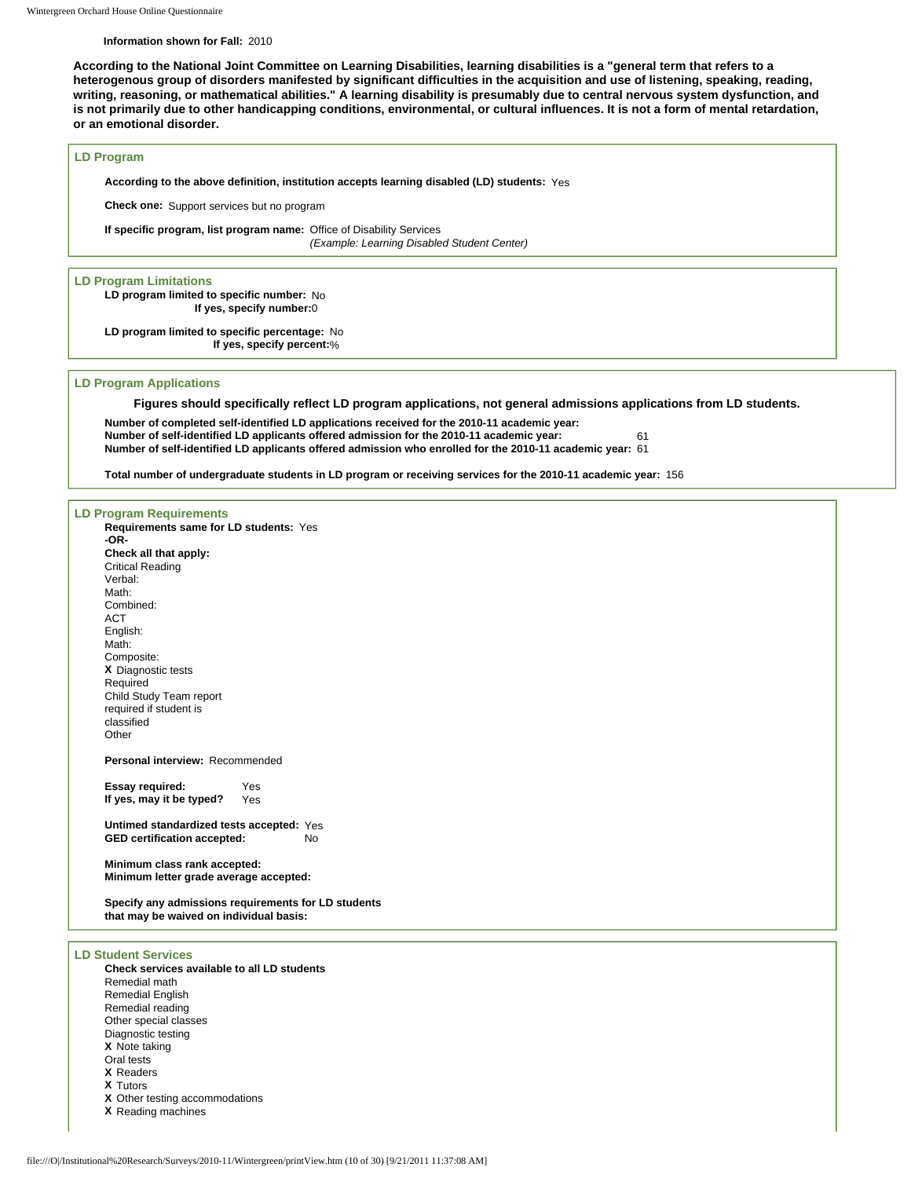#### **Information shown for Fall:** 2010

**According to the National Joint Committee on Learning Disabilities, learning disabilities is a "general term that refers to a heterogenous group of disorders manifested by significant difficulties in the acquisition and use of listening, speaking, reading, writing, reasoning, or mathematical abilities." A learning disability is presumably due to central nervous system dysfunction, and is not primarily due to other handicapping conditions, environmental, or cultural influences. It is not a form of mental retardation, or an emotional disorder.** 

#### **LD Program**

**According to the above definition, institution accepts learning disabled (LD) students:** Yes

**Check one:** Support services but no program

**If specific program, list program name:** Office of Disability Services *(Example: Learning Disabled Student Center)*

**LD Program Limitations LD program limited to specific number:** No

**If yes, specify number:**0

**LD program limited to specific percentage:** No **If yes, specify percent:**%

#### **LD Program Applications**

**Figures should specifically reflect LD program applications, not general admissions applications from LD students.** 

**Number of completed self-identified LD applications received for the 2010-11 academic year: Number of self-identified LD applicants offered admission for the 2010-11 academic year:** 61 **Number of self-identified LD applicants offered admission who enrolled for the 2010-11 academic year:** 61

**Total number of undergraduate students in LD program or receiving services for the 2010-11 academic year:** 156

### **LD Program Requirements Requirements same for LD students:** Yes **-OR-Check all that apply:** Critical Reading Verbal: Math: Combined: ACT English: Math: Composite: **X** Diagnostic tests Required Child Study Team report required if student is classified Other **Personal interview:** Recommended **Essay required:** Yes<br>**If yes, may it be typed?** Yes **If yes, may it be typed? Untimed standardized tests accepted:** Yes **GED certification accepted:** No **Minimum class rank accepted: Minimum letter grade average accepted: Specify any admissions requirements for LD students that may be waived on individual basis: LD Student Services Check services available to all LD students** Remedial math Remedial English Remedial reading Other special classes Diagnostic testing **X** Note taking Oral tests **X** Readers

- **X** Tutors
- 
- **X** Other testing accommodations
- **X** Reading machines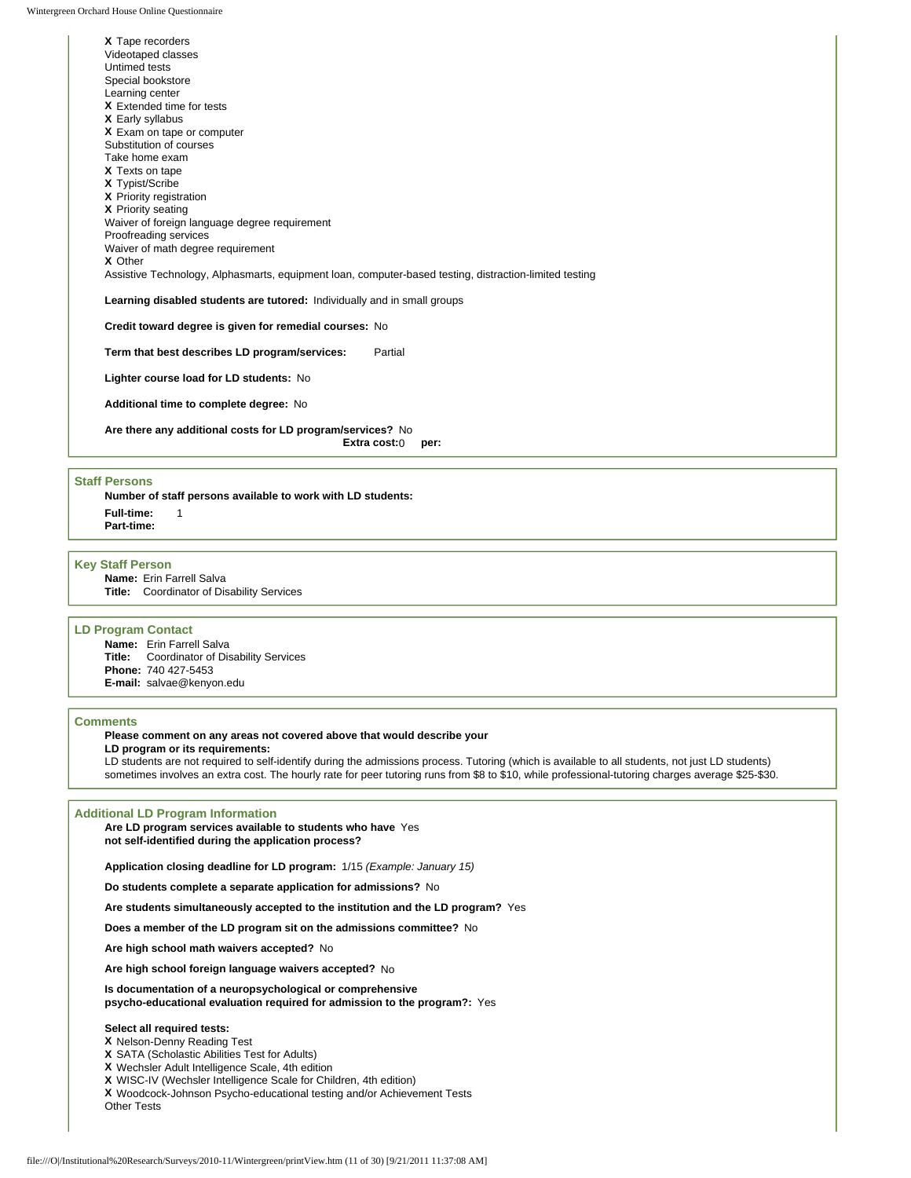**X** Tape recorders Videotaped classes Untimed tests Special bookstore Learning center **X** Extended time for tests **X** Early syllabus **X** Exam on tape or computer Substitution of courses Take home exam **X** Texts on tape **X** Typist/Scribe **X** Priority registration **X** Priority seating Waiver of foreign language degree requirement Proofreading services Waiver of math degree requirement **X** Other Assistive Technology, Alphasmarts, equipment loan, computer-based testing, distraction-limited testing **Learning disabled students are tutored:** Individually and in small groups **Credit toward degree is given for remedial courses:** No

**Term that best describes LD program/services:** Partial

**Lighter course load for LD students:** No

**Additional time to complete degree:** No

**Are there any additional costs for LD program/services?** No **Extra cost:**0 **per:**

#### **Staff Persons**

**Number of staff persons available to work with LD students: Full-time:** 1 **Part-time:**

#### **Key Staff Person**

**Name:** Erin Farrell Salva **Title:** Coordinator of Disability Services

#### **LD Program Contact**

**Name:** Erin Farrell Salva **Title:** Coordinator of Disability Services **Phone:** 740 427-5453 **E-mail:** salvae@kenyon.edu

#### **Comments**

### **Please comment on any areas not covered above that would describe your**

**LD program or its requirements:** 

LD students are not required to self-identify during the admissions process. Tutoring (which is available to all students, not just LD students) sometimes involves an extra cost. The hourly rate for peer tutoring runs from \$8 to \$10, while professional-tutoring charges average \$25-\$30.

#### **Additional LD Program Information**

**Are LD program services available to students who have**  Yes **not self-identified during the application process?**

**Application closing deadline for LD program:** 1/15 *(Example: January 15)*

**Do students complete a separate application for admissions?** No

**Are students simultaneously accepted to the institution and the LD program?** Yes

**Does a member of the LD program sit on the admissions committee?** No

**Are high school math waivers accepted?** No

**Are high school foreign language waivers accepted?** No

**Is documentation of a neuropsychological or comprehensive psycho-educational evaluation required for admission to the program?:** Yes

#### **Select all required tests:**

### **X** Nelson-Denny Reading Test

**X** SATA (Scholastic Abilities Test for Adults)

**X** Wechsler Adult Intelligence Scale, 4th edition

**X** WISC-IV (Wechsler Intelligence Scale for Children, 4th edition)

**X** Woodcock-Johnson Psycho-educational testing and/or Achievement Tests Other Tests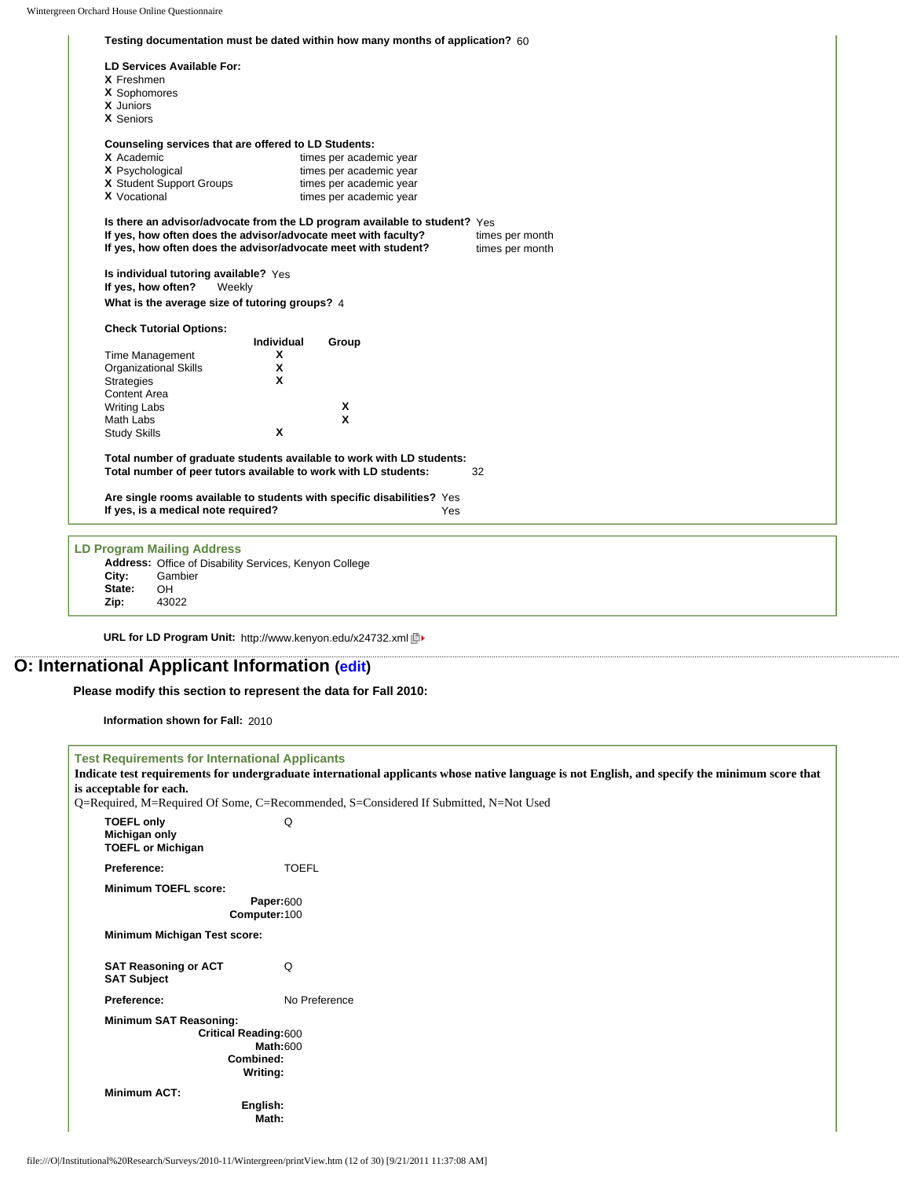|                                                                 | Testing documentation must be dated within how many months of application? 60 |                 |
|-----------------------------------------------------------------|-------------------------------------------------------------------------------|-----------------|
| LD Services Available For:                                      |                                                                               |                 |
| X Freshmen                                                      |                                                                               |                 |
| X Sophomores                                                    |                                                                               |                 |
| X Juniors                                                       |                                                                               |                 |
| X Seniors                                                       |                                                                               |                 |
| Counseling services that are offered to LD Students:            |                                                                               |                 |
| X Academic                                                      | times per academic year                                                       |                 |
| X Psychological                                                 | times per academic year                                                       |                 |
| X Student Support Groups                                        | times per academic year                                                       |                 |
| <b>X</b> Vocational                                             | times per academic year                                                       |                 |
|                                                                 | Is there an advisor/advocate from the LD program available to student? Yes    |                 |
| If yes, how often does the advisor/advocate meet with faculty?  |                                                                               | times per month |
| If yes, how often does the advisor/advocate meet with student?  |                                                                               | times per month |
| Is individual tutoring available? Yes                           |                                                                               |                 |
| If yes, how often?<br>Weekly                                    |                                                                               |                 |
|                                                                 |                                                                               |                 |
| What is the average size of tutoring groups? 4                  |                                                                               |                 |
| <b>Check Tutorial Options:</b>                                  |                                                                               |                 |
|                                                                 | Individual<br>Group                                                           |                 |
| <b>Time Management</b>                                          | X                                                                             |                 |
| <b>Organizational Skills</b>                                    | X                                                                             |                 |
| <b>Strategies</b>                                               | X                                                                             |                 |
| Content Area                                                    |                                                                               |                 |
| <b>Writing Labs</b>                                             | Χ                                                                             |                 |
| Math Labs                                                       | X                                                                             |                 |
| <b>Study Skills</b>                                             | X                                                                             |                 |
|                                                                 | Total number of graduate students available to work with LD students:         |                 |
| Total number of peer tutors available to work with LD students: |                                                                               | 32              |
|                                                                 | Are single rooms available to students with specific disabilities? Yes        |                 |
| If yes, is a medical note required?                             | Yes                                                                           |                 |
|                                                                 |                                                                               |                 |
| <b>LD Program Mailing Address</b>                               |                                                                               |                 |
| Address: Office of Disability Services, Kenyon College          |                                                                               |                 |
| Gambier<br>City:                                                |                                                                               |                 |
| State:<br>OH.                                                   |                                                                               |                 |
| 43022<br>Zip:                                                   |                                                                               |                 |

**URL for LD Program Unit:** http://www.kenyon.edu/x24732.xml

# **O: International Applicant Information [\(edit](http://survey.wgoh.com/secure/sectionOView.htm))**

**Please modify this section to represent the data for Fall 2010:** 

**Information shown for Fall:** 2010

f

| <b>Test Requirements for International Applicants</b>          |                                                                                                                                                |  |
|----------------------------------------------------------------|------------------------------------------------------------------------------------------------------------------------------------------------|--|
|                                                                | Indicate test requirements for undergraduate international applicants whose native language is not English, and specify the minimum score that |  |
| is acceptable for each.                                        |                                                                                                                                                |  |
|                                                                | Q=Required, M=Required Of Some, C=Recommended, S=Considered If Submitted, N=Not Used                                                           |  |
| <b>TOEFL only</b><br>Michigan only<br><b>TOEFL or Michigan</b> | Q                                                                                                                                              |  |
| Preference:                                                    | <b>TOEFL</b>                                                                                                                                   |  |
| <b>Minimum TOEFL score:</b>                                    |                                                                                                                                                |  |
|                                                                | Paper:600                                                                                                                                      |  |
|                                                                | Computer:100                                                                                                                                   |  |
| Minimum Michigan Test score:                                   |                                                                                                                                                |  |
| <b>SAT Reasoning or ACT</b><br><b>SAT Subject</b>              | Q                                                                                                                                              |  |
| Preference:                                                    | No Preference                                                                                                                                  |  |
| <b>Minimum SAT Reasoning:</b>                                  | <b>Critical Reading:600</b><br><b>Math:600</b><br>Combined:<br>Writing:                                                                        |  |
| <b>Minimum ACT:</b>                                            | English:<br>Math:                                                                                                                              |  |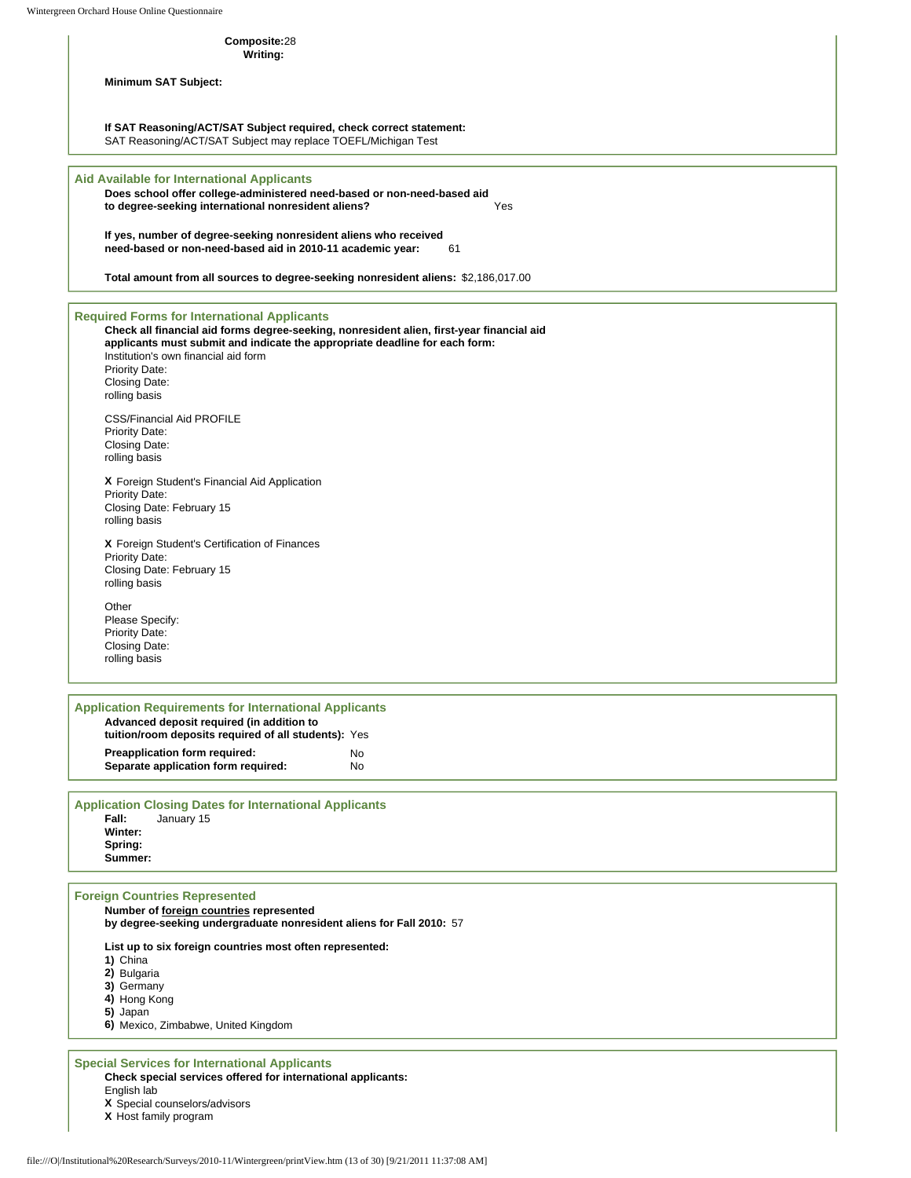Wintergreen Orchard House Online Questionnaire

### **Composite:**28

**Writing:**

**Minimum SAT Subject:**

**If SAT Reasoning/ACT/SAT Subject required, check correct statement:**

SAT Reasoning/ACT/SAT Subject may replace TOEFL/Michigan Test

### **Aid Available for International Applicants**

**Does school offer college-administered need-based or non-need-based aid to degree-seeking international nonresident aliens?** Yes

**If yes, number of degree-seeking nonresident aliens who received need-based or non-need-based aid in 2010-11 academic year:** 61

**Total amount from all sources to degree-seeking nonresident aliens:** \$2,186,017.00

**Required Forms for International Applicants**

**Check all financial aid forms degree-seeking, nonresident alien, first-year financial aid applicants must submit and indicate the appropriate deadline for each form:** Institution's own financial aid form Priority Date: Closing Date: rolling basis CSS/Financial Aid PROFILE Priority Date: Closing Date: rolling basis **X** Foreign Student's Financial Aid Application Priority Date: Closing Date: February 15 rolling basis **X** Foreign Student's Certification of Finances Priority Date: Closing Date: February 15 rolling basis Other Please Specify:

Priority Date: Closing Date: rolling basis

**Application Requirements for International Applicants Advanced deposit required (in addition to tuition/room deposits required of all students):** Yes **Preapplication form required:** No **Separate application form required:** No

**Application Closing Dates for International Applicants** January 15 **Winter: Spring: Summer:**

#### **Foreign Countries Represented**

**Number of foreign countries represented** 

**by degree-seeking undergraduate nonresident aliens for Fall 2010:** 57

**List up to six foreign countries most often represented:**

- **1)** China
- **2)** Bulgaria

**3)** Germany

- **4)** Hong Kong
- **5)** Japan

**6)** Mexico, Zimbabwe, United Kingdom

#### **Special Services for International Applicants Check special services offered for international applicants:** English lab

**X** Special counselors/advisors

**X** Host family program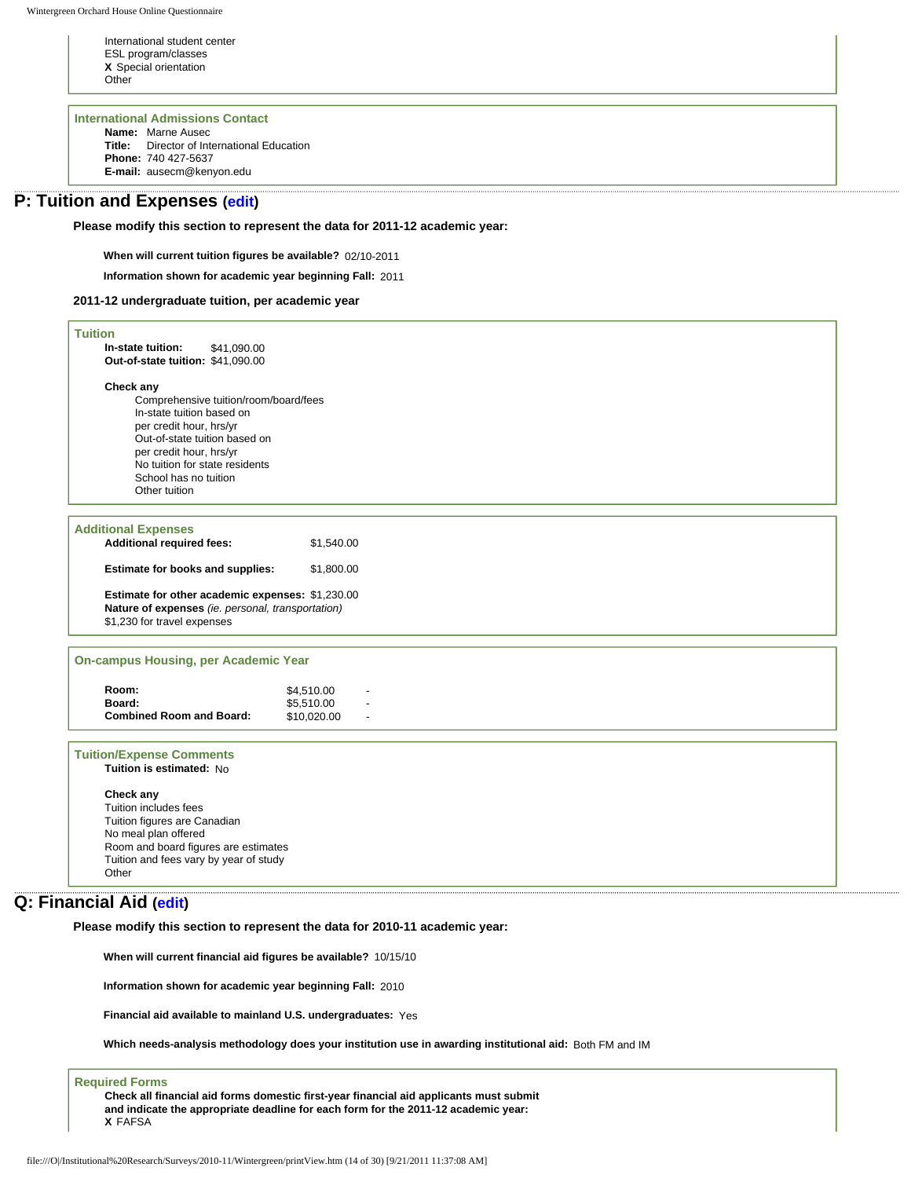International student center ESL program/classes **X** Special orientation **Other** 

**International Admissions Contact**

**Name:** Marne Ausec **Title:** Director of International Education **Phone:** 740 427-5637 **E-mail:** ausecm@kenyon.edu

# **P: Tuition and Expenses [\(edit\)](http://survey.wgoh.com/secure/sectionPView.htm)**

**Please modify this section to represent the data for 2011-12 academic year:** 

**When will current tuition figures be available?** 02/10-2011

**Information shown for academic year beginning Fall:** 2011

#### **2011-12 undergraduate tuition, per academic year**

| <b>Tuition</b>                                        |                           |  |
|-------------------------------------------------------|---------------------------|--|
| In-state tuition:<br>\$41,090.00                      |                           |  |
| Out-of-state tuition: \$41,090.00                     |                           |  |
| Check any                                             |                           |  |
| Comprehensive tuition/room/board/fees                 |                           |  |
| In-state tuition based on<br>per credit hour, hrs/yr  |                           |  |
| Out-of-state tuition based on                         |                           |  |
| per credit hour, hrs/yr                               |                           |  |
| No tuition for state residents                        |                           |  |
| School has no tuition<br>Other tuition                |                           |  |
|                                                       |                           |  |
| <b>Additional Expenses</b>                            |                           |  |
| <b>Additional required fees:</b>                      | \$1,540.00                |  |
|                                                       |                           |  |
| Estimate for books and supplies:                      | \$1,800.00                |  |
| Estimate for other academic expenses: \$1,230.00      |                           |  |
| Nature of expenses (ie. personal, transportation)     |                           |  |
| \$1,230 for travel expenses                           |                           |  |
|                                                       |                           |  |
| <b>On-campus Housing, per Academic Year</b>           |                           |  |
|                                                       |                           |  |
| Room:                                                 | \$4,510.00                |  |
| Board:<br><b>Combined Room and Board:</b>             | \$5,510.00<br>\$10,020.00 |  |
|                                                       |                           |  |
| <b>Tuition/Expense Comments</b>                       |                           |  |
| Tuition is estimated: No                              |                           |  |
|                                                       |                           |  |
| Check any                                             |                           |  |
| Tuition includes fees<br>Tuition figures are Canadian |                           |  |
| No meal plan offered                                  |                           |  |
| Room and board figures are estimates                  |                           |  |
| Tuition and fees vary by year of study                |                           |  |
| Other                                                 |                           |  |
|                                                       |                           |  |

# **Q: Financial Aid ([edit\)](http://survey.wgoh.com/secure/sectionQView.htm)**

**Please modify this section to represent the data for 2010-11 academic year:** 

**When will current financial aid figures be available?** 10/15/10

**Information shown for academic year beginning Fall:** 2010

**Financial aid available to mainland U.S. undergraduates:** Yes

**Which needs-analysis methodology does your institution use in awarding institutional aid:** Both FM and IM

#### **Required Forms**

**Check all financial aid forms domestic first-year financial aid applicants must submit and indicate the appropriate deadline for each form for the 2011-12 academic year: X** FAFSA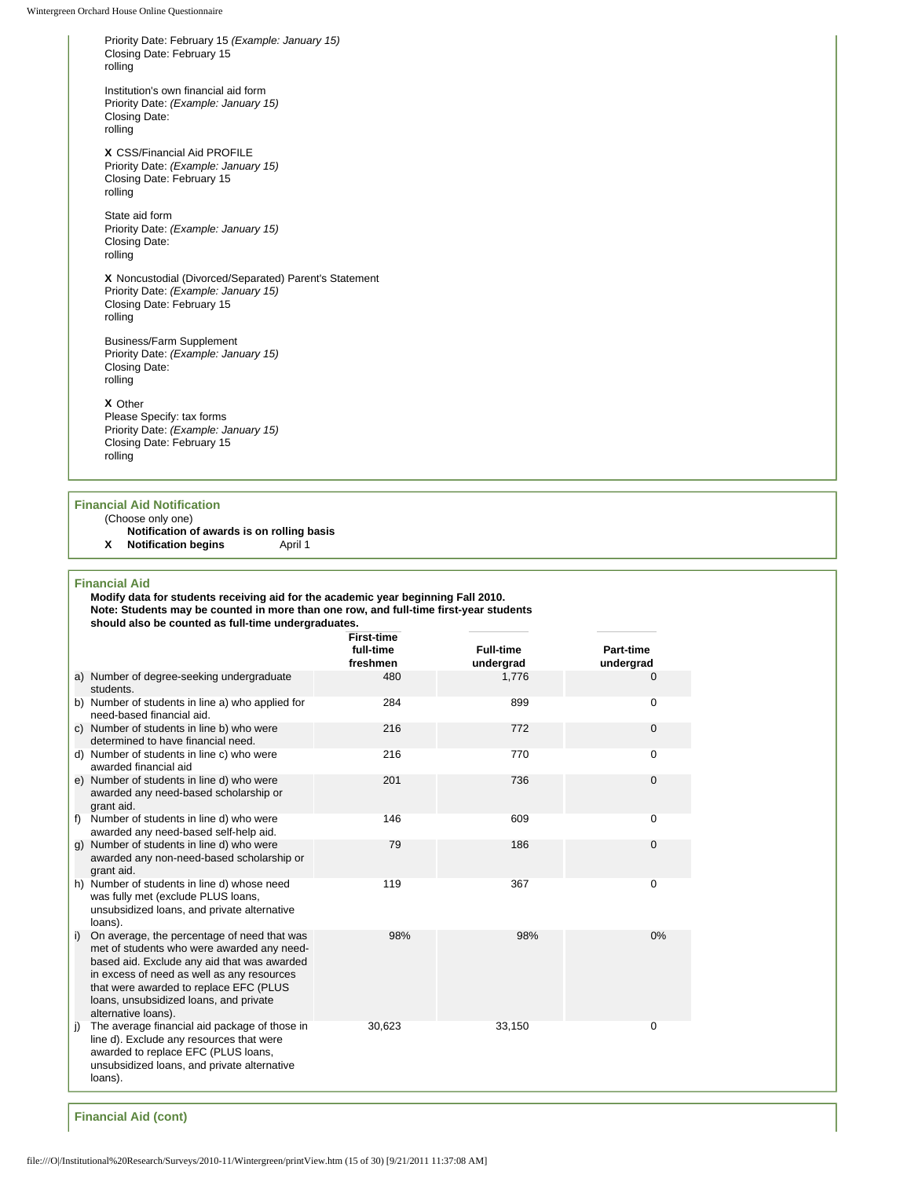Priority Date: February 15 *(Example: January 15)* Closing Date: February 15 rolling

Institution's own financial aid form Priority Date: *(Example: January 15)* Closing Date: rolling

**X** CSS/Financial Aid PROFILE Priority Date: *(Example: January 15)* Closing Date: February 15 rolling

State aid form Priority Date: *(Example: January 15)* Closing Date: rolling

**X** Noncustodial (Divorced/Separated) Parent's Statement Priority Date: *(Example: January 15)* Closing Date: February 15 rolling

Business/Farm Supplement Priority Date: *(Example: January 15)* Closing Date: rolling

**X** Other

Please Specify: tax forms Priority Date: *(Example: January 15)* Closing Date: February 15 rolling

### **Financial Aid Notification**

(Choose only one)

**Notification of awards is on rolling basis**

**X Notification begins** April 1

**Financial Aid**

|    | Modify data for students receiving aid for the academic year beginning Fall 2010.<br>Note: Students may be counted in more than one row, and full-time first-year students<br>should also be counted as full-time undergraduates.                                                                 |                                            |                               |                               |
|----|---------------------------------------------------------------------------------------------------------------------------------------------------------------------------------------------------------------------------------------------------------------------------------------------------|--------------------------------------------|-------------------------------|-------------------------------|
|    |                                                                                                                                                                                                                                                                                                   | <b>First-time</b><br>full-time<br>freshmen | <b>Full-time</b><br>undergrad | <b>Part-time</b><br>undergrad |
|    | a) Number of degree-seeking undergraduate<br>students.                                                                                                                                                                                                                                            | 480                                        | 1,776                         | $\Omega$                      |
|    | b) Number of students in line a) who applied for<br>need-based financial aid.                                                                                                                                                                                                                     | 284                                        | 899                           | $\Omega$                      |
|    | c) Number of students in line b) who were<br>determined to have financial need.                                                                                                                                                                                                                   | 216                                        | 772                           | 0                             |
|    | d) Number of students in line c) who were<br>awarded financial aid                                                                                                                                                                                                                                | 216                                        | 770                           | 0                             |
|    | e) Number of students in line d) who were<br>awarded any need-based scholarship or<br>grant aid.                                                                                                                                                                                                  | 201                                        | 736                           | $\mathbf 0$                   |
|    | f) Number of students in line d) who were<br>awarded any need-based self-help aid.                                                                                                                                                                                                                | 146                                        | 609                           | $\Omega$                      |
|    | g) Number of students in line d) who were<br>awarded any non-need-based scholarship or<br>grant aid.                                                                                                                                                                                              | 79                                         | 186                           | $\mathbf{0}$                  |
|    | h) Number of students in line d) whose need<br>was fully met (exclude PLUS loans,<br>unsubsidized loans, and private alternative<br>loans).                                                                                                                                                       | 119                                        | 367                           | 0                             |
| i) | On average, the percentage of need that was<br>met of students who were awarded any need-<br>based aid. Exclude any aid that was awarded<br>in excess of need as well as any resources<br>that were awarded to replace EFC (PLUS<br>loans, unsubsidized loans, and private<br>alternative loans). | 98%                                        | 98%                           | 0%                            |
|    | The average financial aid package of those in<br>line d). Exclude any resources that were<br>awarded to replace EFC (PLUS loans,<br>unsubsidized loans, and private alternative<br>loans).                                                                                                        | 30,623                                     | 33,150                        | 0                             |

**Financial Aid (cont)**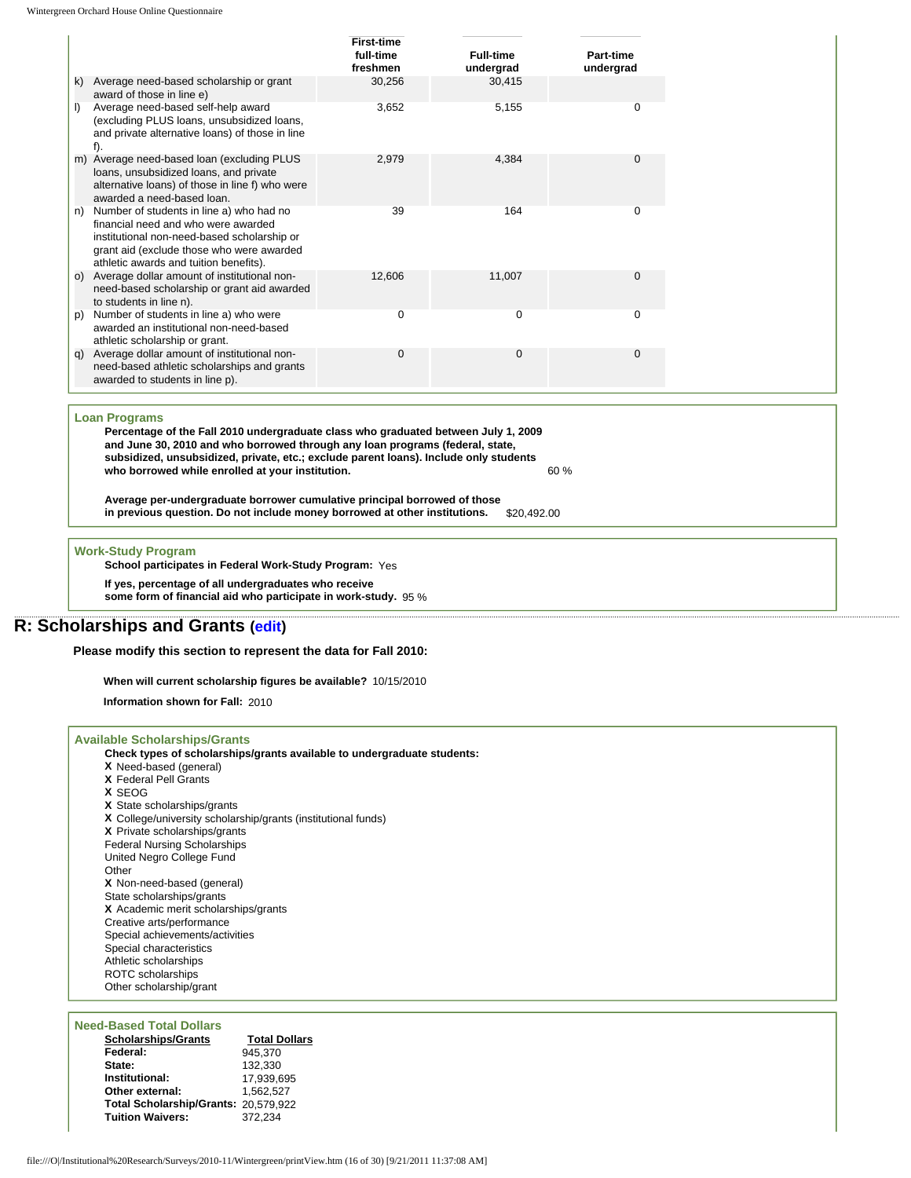|         |                                                                                                                                                                                                                       | <b>First-time</b><br>full-time<br>freshmen | <b>Full-time</b><br>undergrad | Part-time<br>undergrad |
|---------|-----------------------------------------------------------------------------------------------------------------------------------------------------------------------------------------------------------------------|--------------------------------------------|-------------------------------|------------------------|
| k)      | Average need-based scholarship or grant<br>award of those in line e)                                                                                                                                                  | 30,256                                     | 30,415                        |                        |
| $\vert$ | Average need-based self-help award<br>(excluding PLUS loans, unsubsidized loans,<br>and private alternative loans) of those in line<br>f).                                                                            | 3,652                                      | 5,155                         | 0                      |
|         | m) Average need-based loan (excluding PLUS<br>loans, unsubsidized loans, and private<br>alternative loans) of those in line f) who were<br>awarded a need-based loan.                                                 | 2,979                                      | 4,384                         | $\Omega$               |
| n)      | Number of students in line a) who had no<br>financial need and who were awarded<br>institutional non-need-based scholarship or<br>grant aid (exclude those who were awarded<br>athletic awards and tuition benefits). | 39                                         | 164                           | 0                      |
| O)      | Average dollar amount of institutional non-<br>need-based scholarship or grant aid awarded<br>to students in line n).                                                                                                 | 12.606                                     | 11,007                        | $\Omega$               |
| (p      | Number of students in line a) who were<br>awarded an institutional non-need-based<br>athletic scholarship or grant.                                                                                                   | 0                                          | $\Omega$                      | O                      |
| q)      | Average dollar amount of institutional non-<br>need-based athletic scholarships and grants<br>awarded to students in line p).                                                                                         | 0                                          | $\Omega$                      | 0                      |

#### **Loan Programs**

**Percentage of the Fall 2010 undergraduate class who graduated between July 1, 2009 and June 30, 2010 and who borrowed through any loan programs (federal, state, subsidized, unsubsidized, private, etc.; exclude parent loans). Include only students who borrowed while enrolled at your institution.** 60 %

**Average per-undergraduate borrower cumulative principal borrowed of those**  in previous question. Do not include money borrowed at other institutions.

**Work-Study Program**

**School participates in Federal Work-Study Program:** Yes

**If yes, percentage of all undergraduates who receive** 

**some form of financial aid who participate in work-study.** 95 %

## **R: Scholarships and Grants [\(edit](http://survey.wgoh.com/secure/sectionRView.htm))**

**Please modify this section to represent the data for Fall 2010:** 

**When will current scholarship figures be available?** 10/15/2010

**Information shown for Fall:** 2010

### **Available Scholarships/Grants**

|  | Check types of scholarships/grants available to undergraduate students: |  |
|--|-------------------------------------------------------------------------|--|
|  |                                                                         |  |

- **X** Need-based (general) **X** Federal Pell Grants
- **X** SEOG
- **X** State scholarships/grants
- **X** College/university scholarship/grants (institutional funds)
- **X** Private scholarships/grants
- Federal Nursing Scholarships
- United Negro College Fund

Other

**X** Non-need-based (general) State scholarships/grants

**X** Academic merit scholarships/grants

Creative arts/performance

Special achievements/activities

Special characteristics

Athletic scholarships

ROTC scholarships Other scholarship/grant

#### **Need-Based Total Dollars**

| <b>Scholarships/Grants</b>           | <b>Total Dollars</b> |
|--------------------------------------|----------------------|
| Federal:                             | 945.370              |
| State:                               | 132.330              |
| Institutional:                       | 17.939.695           |
| Other external:                      | 1.562.527            |
| Total Scholarship/Grants: 20,579,922 |                      |
| <b>Tuition Waivers:</b>              | 372.234              |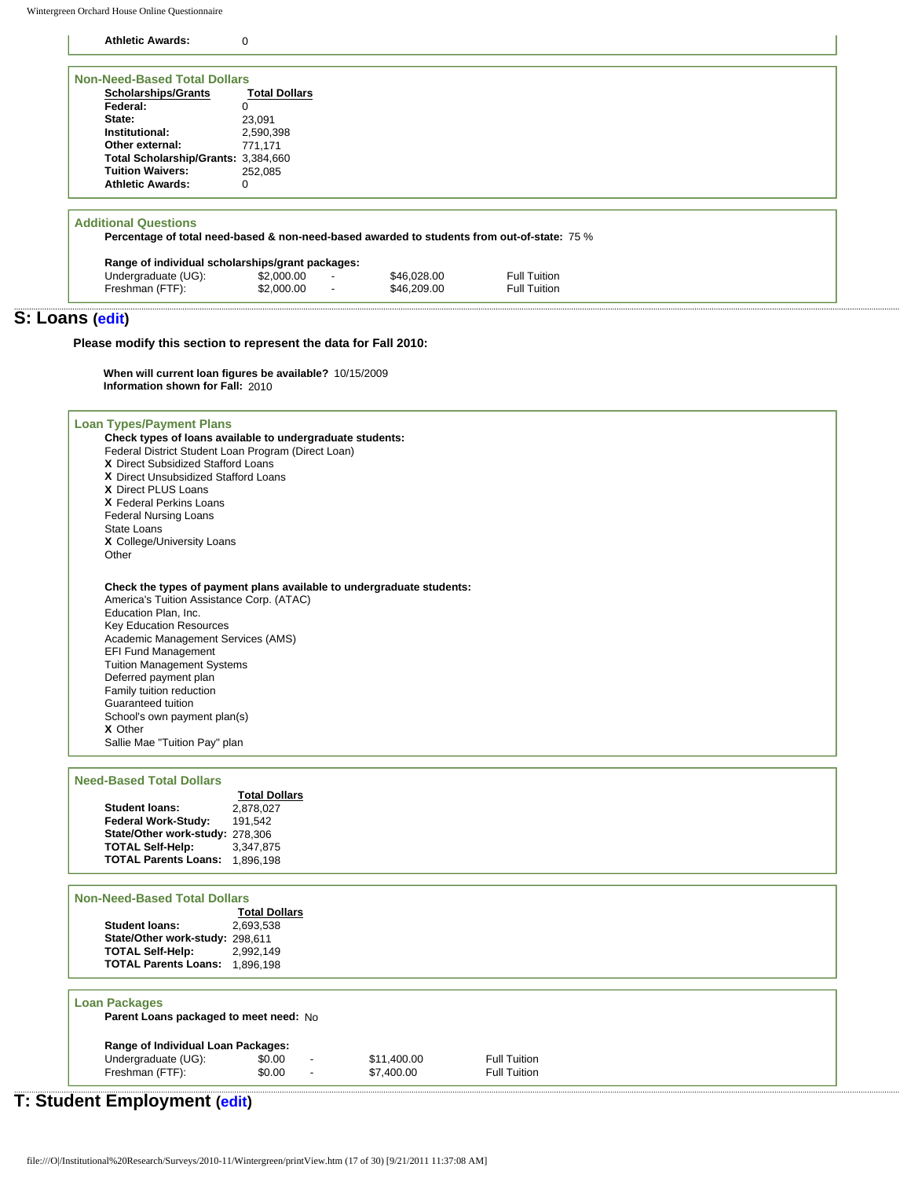Wintergreen Orchard House Online Questionnaire

**Athletic Awards:** 0

| <b>Scholarships/Grants</b>                                                                  | <b>Total Dollars</b> |                          |             |              |  |  |
|---------------------------------------------------------------------------------------------|----------------------|--------------------------|-------------|--------------|--|--|
| Federal:                                                                                    |                      |                          |             |              |  |  |
| State:                                                                                      |                      |                          |             |              |  |  |
|                                                                                             | 23,091               |                          |             |              |  |  |
| Institutional:                                                                              | 2,590,398            |                          |             |              |  |  |
| Other external:                                                                             | 771,171              |                          |             |              |  |  |
| Total Scholarship/Grants: 3,384,660                                                         |                      |                          |             |              |  |  |
| <b>Tuition Waivers:</b>                                                                     | 252.085              |                          |             |              |  |  |
| <b>Athletic Awards:</b>                                                                     | $\Omega$             |                          |             |              |  |  |
|                                                                                             |                      |                          |             |              |  |  |
| Percentage of total need-based & non-need-based awarded to students from out-of-state: 75 % |                      |                          |             |              |  |  |
| Range of individual scholarships/grant packages:                                            |                      |                          |             |              |  |  |
| <b>Additional Questions</b><br>Undergraduate (UG):                                          | \$2,000.00           | $\overline{\phantom{a}}$ | \$46,028,00 | Full Tuition |  |  |

### **S: Loans ([edit\)](http://survey.wgoh.com/secure/sectionSView.htm)**

**Please modify this section to represent the data for Fall 2010:** 

**When will current loan figures be available?** 10/15/2009 **Information shown for Fall:** 2010

**Loan Types/Payment Plans Check types of loans available to undergraduate students:** Federal District Student Loan Program (Direct Loan) **X** Direct Subsidized Stafford Loans **X** Direct Unsubsidized Stafford Loans **X** Direct PLUS Loans **X** Federal Perkins Loans Federal Nursing Loans State Loans **X** College/University Loans Other **Check the types of payment plans available to undergraduate students:** America's Tuition Assistance Corp. (ATAC) Education Plan, Inc. Key Education Resources Academic Management Services (AMS) EFI Fund Management Tuition Management Systems Deferred payment plan

Family tuition reduction Guaranteed tuition School's own payment plan(s) **X** Other Sallie Mae "Tuition Pay" plan

#### **Need-Based Total Dollars**

|                                 | <b>Total Dollars</b> |
|---------------------------------|----------------------|
| <b>Student loans:</b>           | 2.878.027            |
| Federal Work-Study:             | 191.542              |
| State/Other work-study: 278,306 |                      |
| <b>TOTAL Self-Help:</b>         | 3,347,875            |
| <b>TOTAL Parents Loans:</b>     | 1.896.198            |
|                                 |                      |

### **Non-Need-Based Total Dollars**

**Total Dollars Student loans:** 2,693,538 **State/Other work-study: 298,611<br>TOTAL Self-Help:** 2,992,149 **TOTAL Self-Help: TOTAL Parents Loans:** 1,896,198

#### **Loan Packages**

**Parent Loans packaged to meet need:** No **Range of Individual Loan Packages:**

| Undergraduate (UG): | \$0.00 | $\blacksquare$           | \$11,400.00 | <b>Full Tuition</b> |
|---------------------|--------|--------------------------|-------------|---------------------|
| Freshman (FTF):     | \$0.00 | $\overline{\phantom{a}}$ | \$7,400.00  | <b>Full Tuition</b> |

# **T: Student Employment [\(edit](http://survey.wgoh.com/secure/sectionTView.htm))**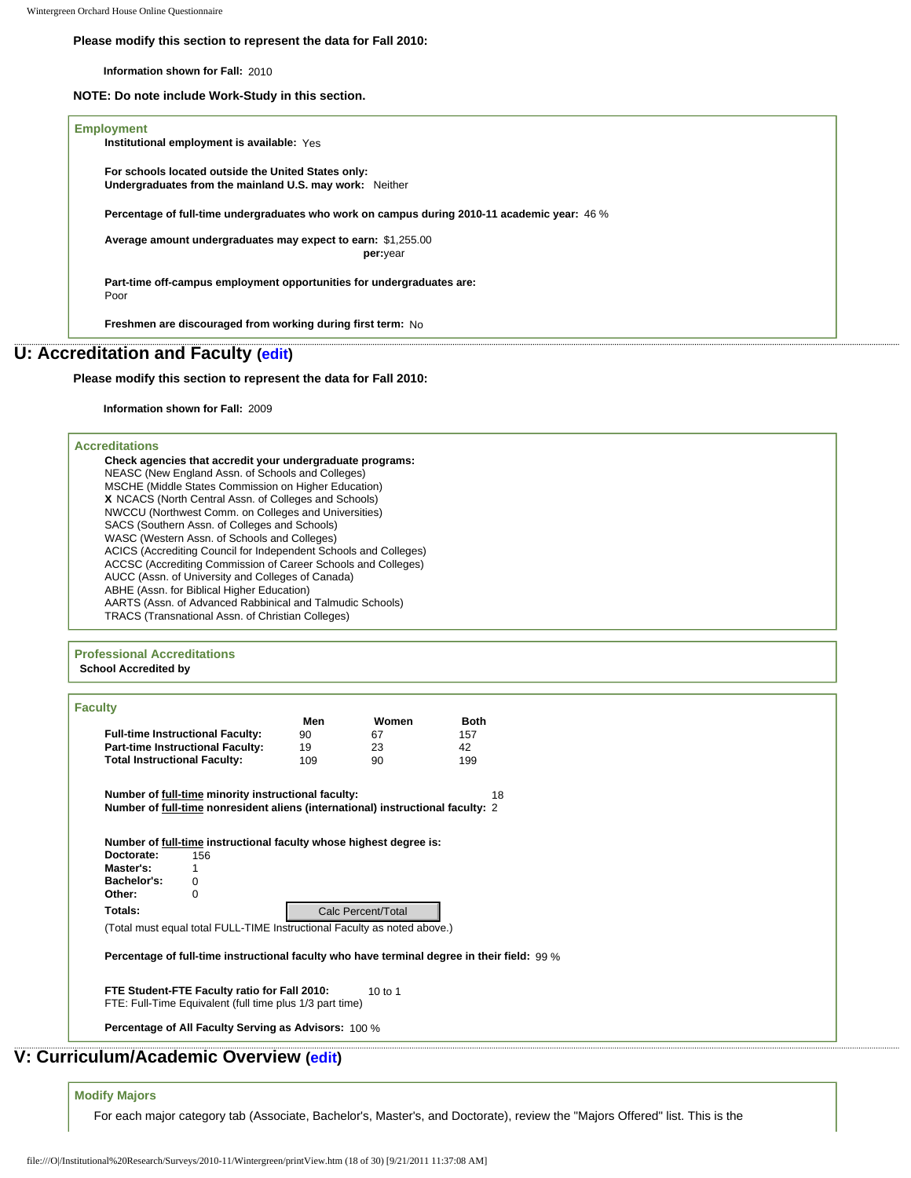#### **Please modify this section to represent the data for Fall 2010:**

**Information shown for Fall:** 2010

**NOTE: Do note include Work-Study in this section.** 

### **Employment**

**Institutional employment is available:** Yes

**For schools located outside the United States only: Undergraduates from the mainland U.S. may work:** Neither

**Percentage of full-time undergraduates who work on campus during 2010-11 academic year:** 46 %

**Average amount undergraduates may expect to earn:** \$1,255.00 **per:** year

**Part-time off-campus employment opportunities for undergraduates are:** Poor

**Freshmen are discouraged from working during first term:** No

# **U: Accreditation and Faculty ([edit\)](http://survey.wgoh.com/secure/sectionUView.htm)**

### **Please modify this section to represent the data for Fall 2010:**

**Information shown for Fall:** 2009

### **Accreditations**

| Check agencies that accredit your undergraduate programs:        |
|------------------------------------------------------------------|
| NEASC (New England Assn. of Schools and Colleges)                |
| MSCHE (Middle States Commission on Higher Education)             |
| X NCACS (North Central Assn. of Colleges and Schools)            |
| NWCCU (Northwest Comm. on Colleges and Universities)             |
| SACS (Southern Assn. of Colleges and Schools)                    |
| WASC (Western Assn. of Schools and Colleges)                     |
| ACICS (Accrediting Council for Independent Schools and Colleges) |
| ACCSC (Accrediting Commission of Career Schools and Colleges)    |
| AUCC (Assn. of University and Colleges of Canada)                |
| ABHE (Assn. for Biblical Higher Education)                       |
| AARTS (Assn. of Advanced Rabbinical and Talmudic Schools)        |
| TRACS (Transnational Assn. of Christian Colleges)                |
|                                                                  |

#### **Professional Accreditations School Accredited by**

| <b>Faculty</b>                                                                                                                         |     |                    |             |  |
|----------------------------------------------------------------------------------------------------------------------------------------|-----|--------------------|-------------|--|
|                                                                                                                                        | Men | Women              | <b>Both</b> |  |
| <b>Full-time Instructional Faculty:</b>                                                                                                | 90  | 67                 | 157         |  |
| <b>Part-time Instructional Faculty:</b>                                                                                                | 19  | 23                 | 42          |  |
| <b>Total Instructional Faculty:</b>                                                                                                    | 109 | 90                 | 199         |  |
| Number of full-time minority instructional faculty:<br>Number of full-time nonresident aliens (international) instructional faculty: 2 |     |                    | 18          |  |
| Number of full-time instructional faculty whose highest degree is:<br>Doctorate:<br>156                                                |     |                    |             |  |
| Master's:<br>1                                                                                                                         |     |                    |             |  |
| Bachelor's:<br>0                                                                                                                       |     |                    |             |  |
| Other:<br>O                                                                                                                            |     |                    |             |  |
| Totals:                                                                                                                                |     | Calc Percent/Total |             |  |
| (Total must equal total FULL-TIME Instructional Faculty as noted above.)                                                               |     |                    |             |  |
| Percentage of full-time instructional faculty who have terminal degree in their field: 99 %                                            |     |                    |             |  |
| FTE Student-FTE Faculty ratio for Fall 2010:<br>FTE: Full-Time Equivalent (full time plus 1/3 part time)                               |     | $10$ to $1$        |             |  |
| Percentage of All Faculty Serving as Advisors: 100 %                                                                                   |     |                    |             |  |
| : Curriculum/Academic Overview (edit)                                                                                                  |     |                    |             |  |
| <b>Modify Majors</b>                                                                                                                   |     |                    |             |  |
| For each major category tab (Associate, Bachelor's, Master's, and Doctorate), review the "Majors (                                     |     |                    |             |  |
|                                                                                                                                        |     |                    |             |  |

# **V: Curriculum/Academic Overview ([edit\)](http://survey.wgoh.com/secure/sectionVView.htm)**

#### **Modify Majors**

For each major category tab (Associate, Bachelor's, Master's, and Doctorate), review the "Majors Offered" list. This is the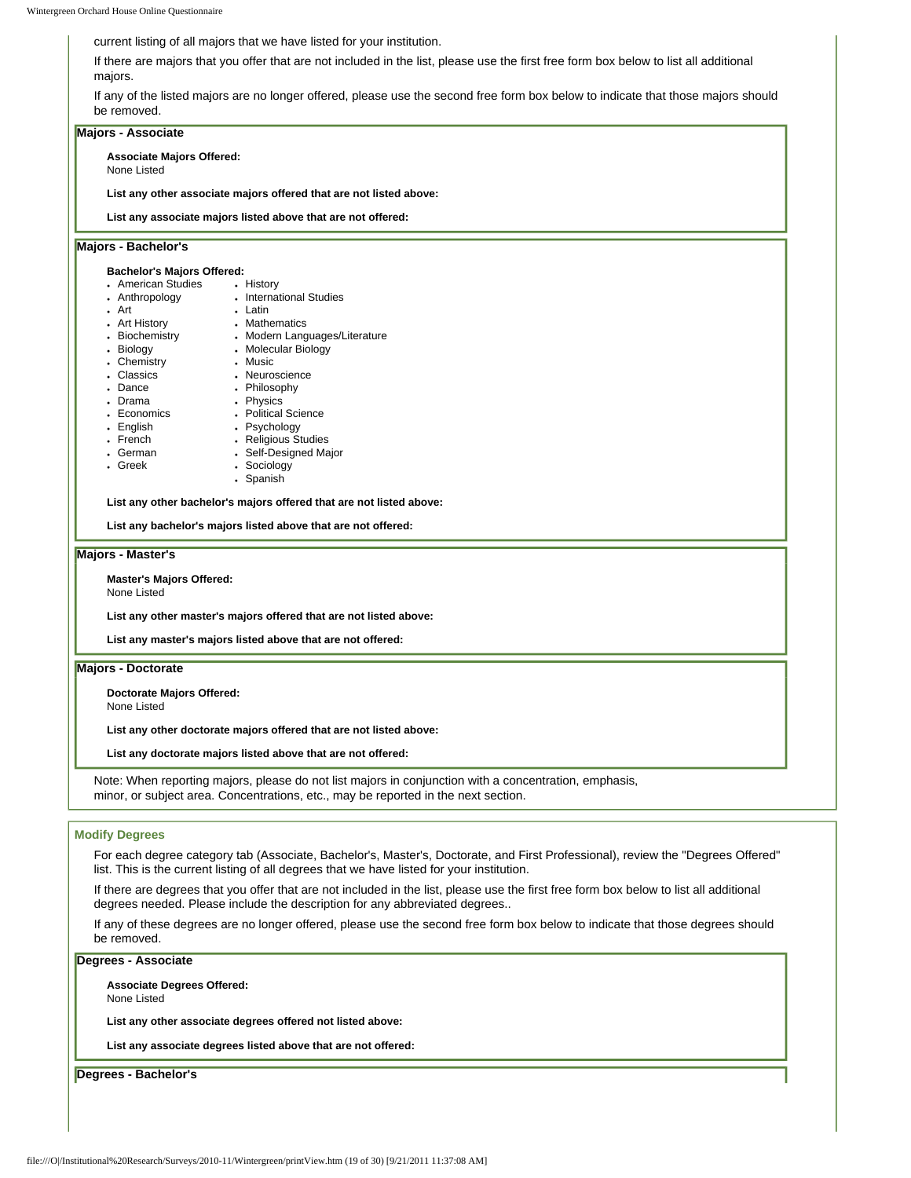current listing of all majors that we have listed for your institution.

If there are majors that you offer that are not included in the list, please use the first free form box below to list all additional majors.

If any of the listed majors are no longer offered, please use the second free form box below to indicate that those majors should be removed.

#### **Majors - Associate Associate Majors Offered:** None Listed **List any other associate majors offered that are not listed above: List any associate majors listed above that are not offered: Majors - Bachelor's Bachelor's Majors Offered:** • American Studies • History • Anthropology ● Art • Art History • Biochemistry • Biology • Chemistry • Classics • Dance • Drama • Economics • English • French • German • Greek • International Studies • Latin • Mathematics • Modern Languages/Literature • Molecular Biology • Music • Neuroscience • Philosophy • Physics • Political Science • Psychology • Religious Studies • Self-Designed Major • Sociology • Spanish **List any other bachelor's majors offered that are not listed above: List any bachelor's majors listed above that are not offered: Majors - Master's Master's Majors Offered:** None Listed **List any other master's majors offered that are not listed above: List any master's majors listed above that are not offered: Majors - Doctorate Doctorate Majors Offered:** None Listed **List any other doctorate majors offered that are not listed above: List any doctorate majors listed above that are not offered:**  Note: When reporting majors, please do not list majors in conjunction with a concentration, emphasis,

#### **Modify Degrees**

For each degree category tab (Associate, Bachelor's, Master's, Doctorate, and First Professional), review the "Degrees Offered" list. This is the current listing of all degrees that we have listed for your institution.

If there are degrees that you offer that are not included in the list, please use the first free form box below to list all additional degrees needed. Please include the description for any abbreviated degrees..

If any of these degrees are no longer offered, please use the second free form box below to indicate that those degrees should be removed.

**Degrees - Associate**

**Associate Degrees Offered:** None Listed

**List any other associate degrees offered not listed above:** 

minor, or subject area. Concentrations, etc., may be reported in the next section.

**List any associate degrees listed above that are not offered:** 

**Degrees - Bachelor's**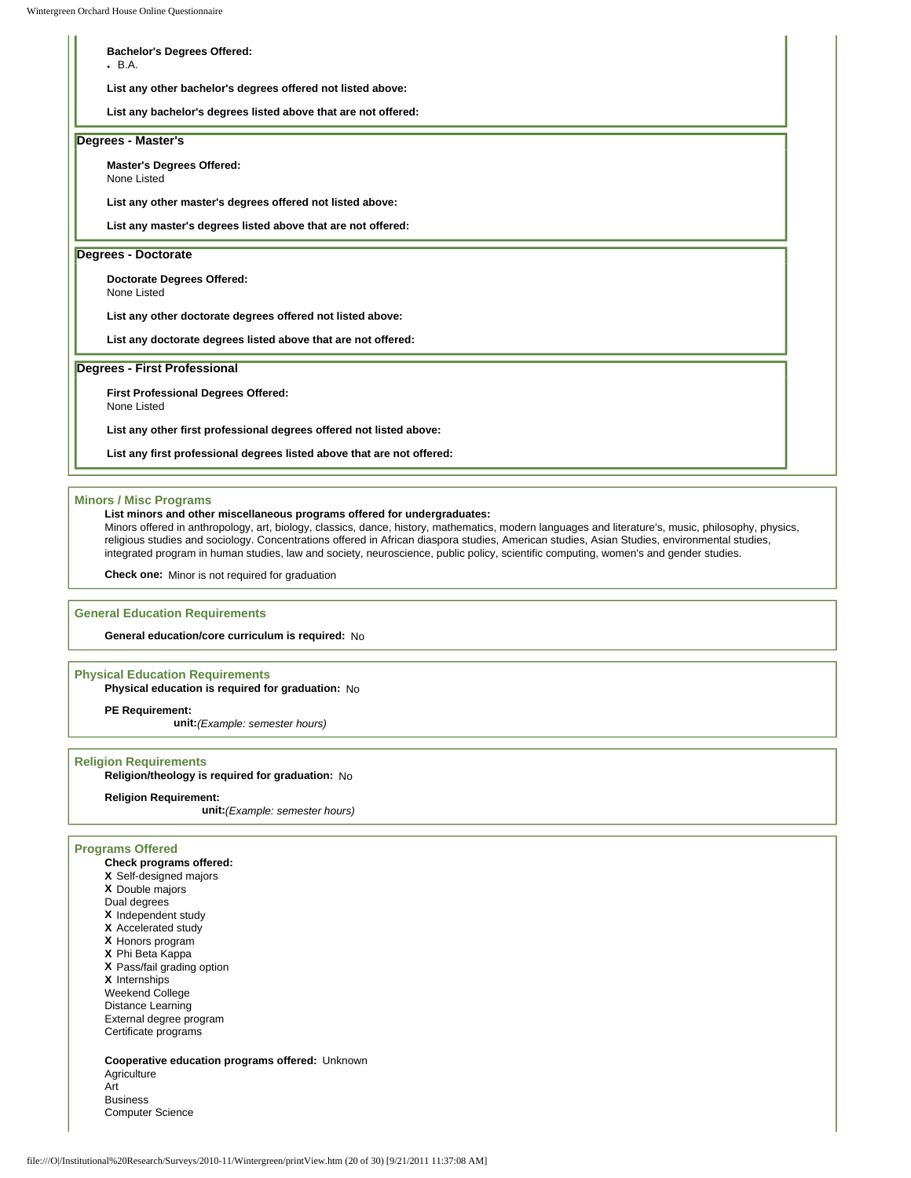# **Bachelor's Degrees Offered:**  $-B.A.$ **List any other bachelor's degrees offered not listed above: List any bachelor's degrees listed above that are not offered: Degrees - Master's Master's Degrees Offered:** None Listed **List any other master's degrees offered not listed above: List any master's degrees listed above that are not offered: Degrees - Doctorate Doctorate Degrees Offered:** None Listed **List any other doctorate degrees offered not listed above: List any doctorate degrees listed above that are not offered: Degrees - First Professional First Professional Degrees Offered:** None Listed **List any other first professional degrees offered not listed above:**

**List any first professional degrees listed above that are not offered:** 

### **Minors / Misc Programs**

#### **List minors and other miscellaneous programs offered for undergraduates:**

Minors offered in anthropology, art, biology, classics, dance, history, mathematics, modern languages and literature's, music, philosophy, physics, religious studies and sociology. Concentrations offered in African diaspora studies, American studies, Asian Studies, environmental studies, integrated program in human studies, law and society, neuroscience, public policy, scientific computing, women's and gender studies.

**Check one:** Minor is not required for graduation

#### **General Education Requirements**

**General education/core curriculum is required:** No

#### **Physical Education Requirements**

**Physical education is required for graduation:** No

**PE Requirement:**

**unit:***(Example: semester hours)*

#### **Religion Requirements**

**Religion/theology is required for graduation:** No

#### **Religion Requirement:**

**unit:***(Example: semester hours)*

#### **Programs Offered**

- **Check programs offered:**
- **X** Self-designed majors
- **X** Double majors
- Dual degrees
- **X** Independent study
- **X** Accelerated study
- **X** Honors program
- **X** Phi Beta Kappa
- **X** Pass/fail grading option

**X** Internships

Weekend College Distance Learning

External degree program

Certificate programs

**Cooperative education programs offered:** Unknown Agriculture Art Business Computer Science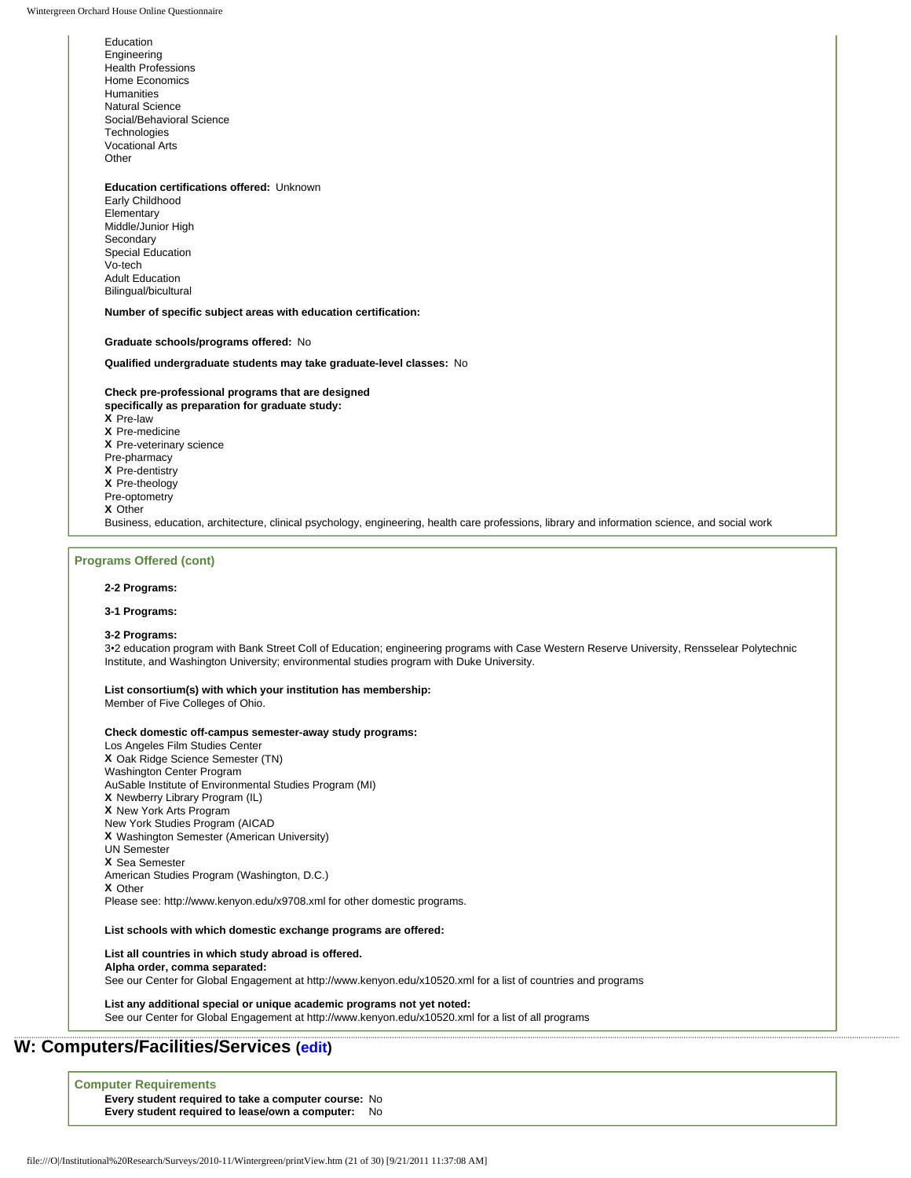Education Engineering Health Professions Home Economics **Humanities** Natural Science Social/Behavioral Science **Technologies** Vocational Arts **Other** 

#### **Education certifications offered:** Unknown

Early Childhood Elementary Middle/Junior High Secondary Special Education Vo-tech Adult Education Bilingual/bicultural

**Number of specific subject areas with education certification:**

**Graduate schools/programs offered:** No

**Qualified undergraduate students may take graduate-level classes:** No

#### **Check pre-professional programs that are designed**

**specifically as preparation for graduate study: X** Pre-law **X** Pre-medicine **X** Pre-veterinary science Pre-pharmacy **X** Pre-dentistry **X** Pre-theology Pre-optometry **X** Other Business, education, architecture, clinical psychology, engineering, health care professions, library and information science, and social work

#### **Programs Offered (cont)**

#### **2-2 Programs:**

#### **3-1 Programs:**

#### **3-2 Programs:**

3•2 education program with Bank Street Coll of Education; engineering programs with Case Western Reserve University, Rensselear Polytechnic Institute, and Washington University; environmental studies program with Duke University.

#### **List consortium(s) with which your institution has membership:**

Member of Five Colleges of Ohio.

#### **Check domestic off-campus semester-away study programs:**

Los Angeles Film Studies Center **X** Oak Ridge Science Semester (TN) Washington Center Program AuSable Institute of Environmental Studies Program (MI) **X** Newberry Library Program (IL) **X** New York Arts Program New York Studies Program (AICAD **X** Washington Semester (American University) UN Semester **X** Sea Semester American Studies Program (Washington, D.C.) **X** Other Please see: http://www.kenyon.edu/x9708.xml for other domestic programs.

#### **List schools with which domestic exchange programs are offered:**

**List all countries in which study abroad is offered.** 

**Alpha order, comma separated:** 

See our Center for Global Engagement at http://www.kenyon.edu/x10520.xml for a list of countries and programs

**List any additional special or unique academic programs not yet noted:**  See our Center for Global Engagement at http://www.kenyon.edu/x10520.xml for a list of all programs

# **W: Computers/Facilities/Services [\(edit\)](http://survey.wgoh.com/secure/sectionWView.htm)**

**Computer Requirements Every student required to take a computer course:** No **Every student required to lease/own a computer:** No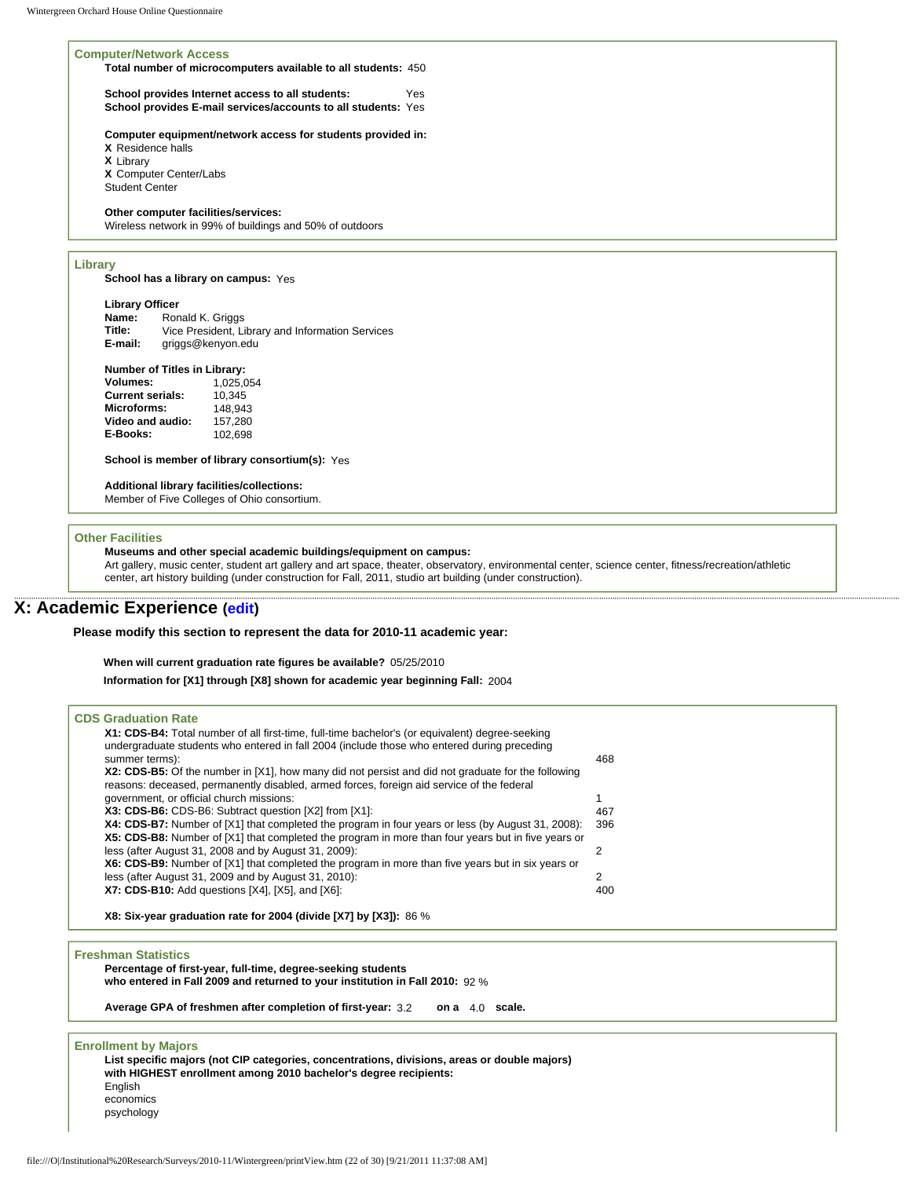#### **Computer/Network Access**

**Total number of microcomputers available to all students:** 450

**School provides Internet access to all students:** Yes **School provides E-mail services/accounts to all students:** Yes

**Computer equipment/network access for students provided in: X** Residence halls **X** Library **X** Computer Center/Labs

Student Center

### **Other computer facilities/services:**

Wireless network in 99% of buildings and 50% of outdoors

### **Library**

**School has a library on campus:** Yes

**Library Officer**<br>**Name:** Ror **Name:** Ronald K. Griggs<br> **Title:** Vice President. Li **Title:** Vice President, Library and Information Services

**E-mail:** griggs@kenyon.edu

#### **Number of Titles in Library:**

| 1.025.054 |
|-----------|
| 10.345    |
| 148.943   |
| 157,280   |
| 102.698   |
|           |

**School is member of library consortium(s):** Yes

#### **Additional library facilities/collections:**

Member of Five Colleges of Ohio consortium.

#### **Other Facilities**

#### **Museums and other special academic buildings/equipment on campus:**

Art gallery, music center, student art gallery and art space, theater, observatory, environmental center, science center, fitness/recreation/athletic center, art history building (under construction for Fall, 2011, studio art building (under construction).

# **X: Academic Experience [\(edit\)](http://survey.wgoh.com/secure/sectionXView.htm)**

**Please modify this section to represent the data for 2010-11 academic year:** 

**When will current graduation rate figures be available?** 05/25/2010

**Information for [X1] through [X8] shown for academic year beginning Fall:** 2004

| <b>CDS Graduation Rate</b>                                                                         |                |
|----------------------------------------------------------------------------------------------------|----------------|
| X1: CDS-B4: Total number of all first-time, full-time bachelor's (or equivalent) degree-seeking    |                |
| undergraduate students who entered in fall 2004 (include those who entered during preceding        |                |
| summer terms):                                                                                     | 468            |
| X2: CDS-B5: Of the number in [X1], how many did not persist and did not graduate for the following |                |
| reasons: deceased, permanently disabled, armed forces, foreign aid service of the federal          |                |
| government, or official church missions:                                                           |                |
| X3: CDS-B6: CDS-B6: Subtract question [X2] from [X1]:                                              | 467            |
| X4: CDS-B7: Number of [X1] that completed the program in four years or less (by August 31, 2008):  | 396            |
| X5: CDS-B8: Number of [X1] that completed the program in more than four years but in five years or |                |
| less (after August 31, 2008 and by August 31, 2009):                                               | $\overline{2}$ |
| X6: CDS-B9: Number of [X1] that completed the program in more than five years but in six years or  |                |
| less (after August 31, 2009 and by August 31, 2010):                                               | 2              |
| X7: CDS-B10: Add questions [X4], [X5], and [X6]:                                                   | 400            |
| X8: Six-year graduation rate for 2004 (divide [X7] by [X3]): 86 %                                  |                |
| <b>Freshman Statistics</b>                                                                         |                |
| Percentage of first-year, full-time, degree-seeking students                                       |                |
| who entered in Fall 2009 and returned to your institution in Fall 2010: 92 %                       |                |
| Average GPA of freshmen after completion of first-year: 3.2<br>on a 4.0 scale.                     |                |
| <b>Enrollment by Majors</b>                                                                        |                |
| List specific majors (not CIP categories, concentrations, divisions, areas or double majors)       |                |
| with HIGHEST enrollment among 2010 bachelor's degree recipients:                                   |                |
| English                                                                                            |                |
| economics                                                                                          |                |
| psychology                                                                                         |                |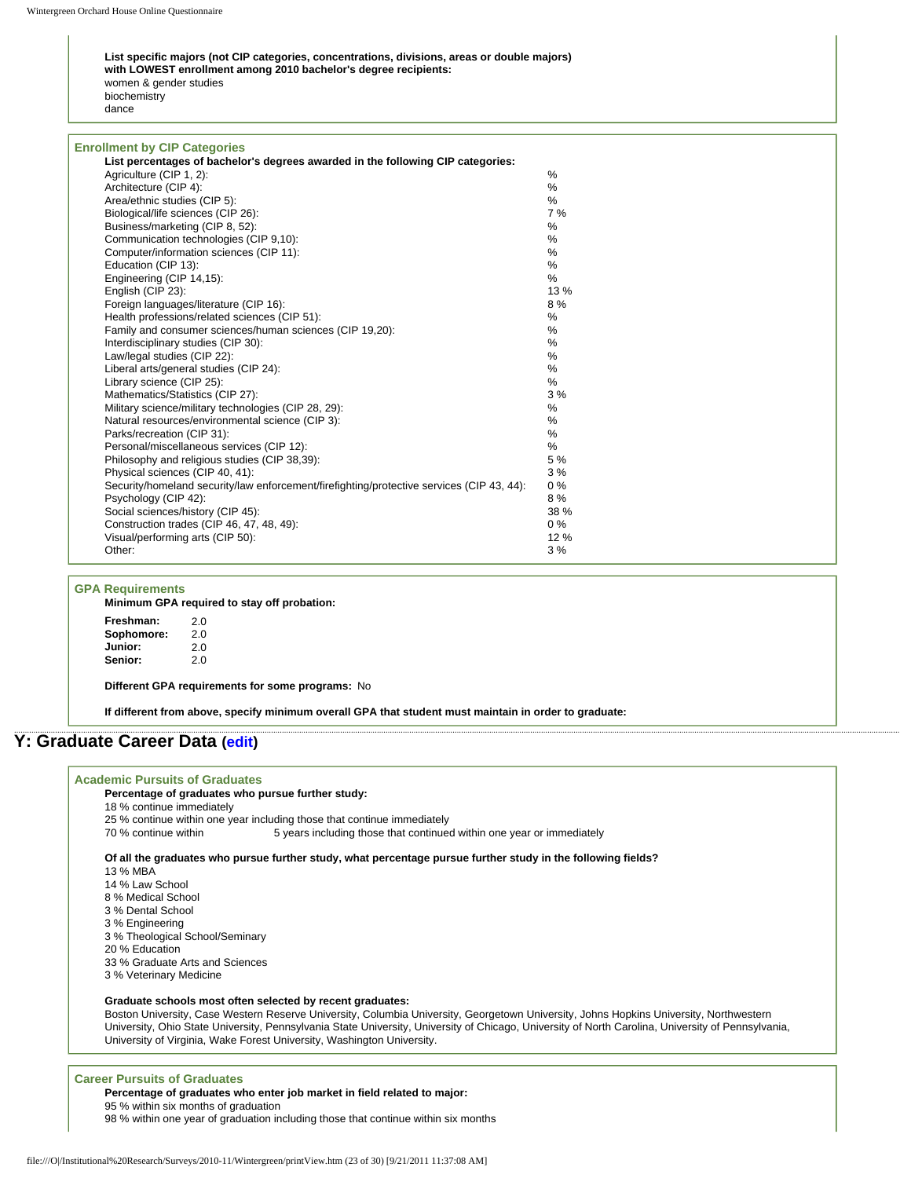**List specific majors (not CIP categories, concentrations, divisions, areas or double majors) with LOWEST enrollment among 2010 bachelor's degree recipients:** women & gender studies biochemistry dance

| <b>Enrollment by CIP Categories</b>                                                       |               |
|-------------------------------------------------------------------------------------------|---------------|
| List percentages of bachelor's degrees awarded in the following CIP categories:           |               |
| Agriculture (CIP 1, 2):                                                                   | $\frac{0}{0}$ |
| Architecture (CIP 4):                                                                     | %             |
| Area/ethnic studies (CIP 5):                                                              | %             |
| Biological/life sciences (CIP 26):                                                        | 7%            |
| Business/marketing (CIP 8, 52):                                                           | %             |
| Communication technologies (CIP 9.10):                                                    | %             |
| Computer/information sciences (CIP 11):                                                   | %             |
| Education (CIP 13):                                                                       | $\%$          |
| Engineering (CIP 14,15):                                                                  | %             |
| English (CIP 23):                                                                         | 13 %          |
| Foreign languages/literature (CIP 16):                                                    | 8%            |
| Health professions/related sciences (CIP 51):                                             | %             |
| Family and consumer sciences/human sciences (CIP 19.20):                                  | %             |
| Interdisciplinary studies (CIP 30):                                                       | %             |
| Law/legal studies (CIP 22):                                                               | %             |
| Liberal arts/general studies (CIP 24):                                                    | %             |
| Library science (CIP 25):                                                                 | %             |
| Mathematics/Statistics (CIP 27):                                                          | 3%            |
| Military science/military technologies (CIP 28, 29):                                      | $\%$          |
| Natural resources/environmental science (CIP 3):                                          | %             |
| Parks/recreation (CIP 31):                                                                | %             |
| Personal/miscellaneous services (CIP 12):                                                 | %             |
| Philosophy and religious studies (CIP 38,39):                                             | 5 %           |
| Physical sciences (CIP 40, 41):                                                           | 3%            |
| Security/homeland security/law enforcement/firefighting/protective services (CIP 43, 44): | 0%            |
| Psychology (CIP 42):                                                                      | 8%            |
| Social sciences/history (CIP 45):                                                         | 38 %          |
| Construction trades (CIP 46, 47, 48, 49):                                                 | $0\%$         |
| Visual/performing arts (CIP 50):                                                          | 12 %          |
| Other:                                                                                    | 3%            |

#### **GPA Requirements**

**Minimum GPA required to stay off probation:**

| Freshman:<br>Sophomore: | 2.0<br>2.0 |
|-------------------------|------------|
| Junior:                 | 2.0        |
| Senior:                 | 2.0        |
|                         |            |

**Different GPA requirements for some programs:** No

**If different from above, specify minimum overall GPA that student must maintain in order to graduate:**

# **Y: Graduate Career Data [\(edit](http://survey.wgoh.com/secure/sectionYView.htm))**

#### **Academic Pursuits of Graduates**

#### **Percentage of graduates who pursue further study:**

- 18 % continue immediately
- 25 % continue within one year including those that continue immediately<br>70 % continue within 5 years including those that continue

5 years including those that continued within one year or immediately

**Of all the graduates who pursue further study, what percentage pursue further study in the following fields?**

- 13 % MBA
- 14 % Law School
- 8 % Medical School
- 3 % Dental School
- 3 % Engineering
- 3 % Theological School/Seminary
- 20 % Education
- 33 % Graduate Arts and Sciences
- 3 % Veterinary Medicine

#### **Graduate schools most often selected by recent graduates:**

Boston University, Case Western Reserve University, Columbia University, Georgetown University, Johns Hopkins University, Northwestern University, Ohio State University, Pennsylvania State University, University of Chicago, University of North Carolina, University of Pennsylvania, University of Virginia, Wake Forest University, Washington University.

#### **Career Pursuits of Graduates**

**Percentage of graduates who enter job market in field related to major:**

95 % within six months of graduation

98 % within one year of graduation including those that continue within six months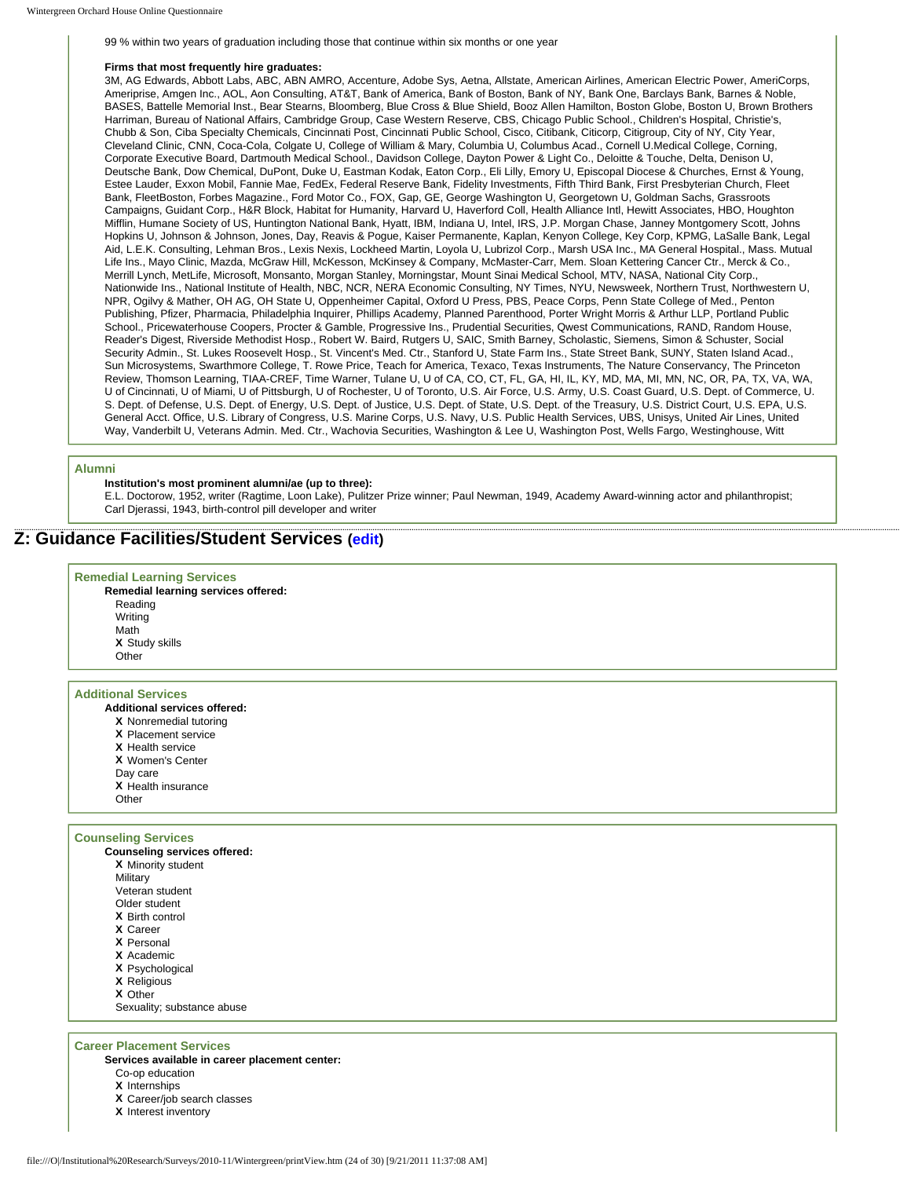99 % within two years of graduation including those that continue within six months or one year

#### **Firms that most frequently hire graduates:**

3M, AG Edwards, Abbott Labs, ABC, ABN AMRO, Accenture, Adobe Sys, Aetna, Allstate, American Airlines, American Electric Power, AmeriCorps, Ameriprise, Amgen Inc., AOL, Aon Consulting, AT&T, Bank of America, Bank of Boston, Bank of NY, Bank One, Barclays Bank, Barnes & Noble, BASES, Battelle Memorial Inst., Bear Stearns, Bloomberg, Blue Cross & Blue Shield, Booz Allen Hamilton, Boston Globe, Boston U, Brown Brothers Harriman, Bureau of National Affairs, Cambridge Group, Case Western Reserve, CBS, Chicago Public School., Children's Hospital, Christie's, Chubb & Son, Ciba Specialty Chemicals, Cincinnati Post, Cincinnati Public School, Cisco, Citibank, Citicorp, Citigroup, City of NY, City Year, Cleveland Clinic, CNN, Coca-Cola, Colgate U, College of William & Mary, Columbia U, Columbus Acad., Cornell U.Medical College, Corning, Corporate Executive Board, Dartmouth Medical School., Davidson College, Dayton Power & Light Co., Deloitte & Touche, Delta, Denison U, Deutsche Bank, Dow Chemical, DuPont, Duke U, Eastman Kodak, Eaton Corp., Eli Lilly, Emory U, Episcopal Diocese & Churches, Ernst & Young, Estee Lauder, Exxon Mobil, Fannie Mae, FedEx, Federal Reserve Bank, Fidelity Investments, Fifth Third Bank, First Presbyterian Church, Fleet Bank, FleetBoston, Forbes Magazine., Ford Motor Co., FOX, Gap, GE, George Washington U, Georgetown U, Goldman Sachs, Grassroots Campaigns, Guidant Corp., H&R Block, Habitat for Humanity, Harvard U, Haverford Coll, Health Alliance Intl, Hewitt Associates, HBO, Houghton Mifflin, Humane Society of US, Huntington National Bank, Hyatt, IBM, Indiana U, Intel, IRS, J.P. Morgan Chase, Janney Montgomery Scott, Johns Hopkins U, Johnson & Johnson, Jones, Day, Reavis & Pogue, Kaiser Permanente, Kaplan, Kenyon College, Key Corp, KPMG, LaSalle Bank, Legal Aid, L.E.K. Consulting, Lehman Bros., Lexis Nexis, Lockheed Martin, Loyola U, Lubrizol Corp., Marsh USA Inc., MA General Hospital., Mass. Mutual Life Ins., Mayo Clinic, Mazda, McGraw Hill, McKesson, McKinsey & Company, McMaster-Carr, Mem. Sloan Kettering Cancer Ctr., Merck & Co., Merrill Lynch, MetLife, Microsoft, Monsanto, Morgan Stanley, Morningstar, Mount Sinai Medical School, MTV, NASA, National City Corp., Nationwide Ins., National Institute of Health, NBC, NCR, NERA Economic Consulting, NY Times, NYU, Newsweek, Northern Trust, Northwestern U, NPR, Ogilvy & Mather, OH AG, OH State U, Oppenheimer Capital, Oxford U Press, PBS, Peace Corps, Penn State College of Med., Penton Publishing, Pfizer, Pharmacia, Philadelphia Inquirer, Phillips Academy, Planned Parenthood, Porter Wright Morris & Arthur LLP, Portland Public School., Pricewaterhouse Coopers, Procter & Gamble, Progressive Ins., Prudential Securities, Qwest Communications, RAND, Random House, Reader's Digest, Riverside Methodist Hosp., Robert W. Baird, Rutgers U, SAIC, Smith Barney, Scholastic, Siemens, Simon & Schuster, Social Security Admin., St. Lukes Roosevelt Hosp., St. Vincent's Med. Ctr., Stanford U, State Farm Ins., State Street Bank, SUNY, Staten Island Acad., Sun Microsystems, Swarthmore College, T. Rowe Price, Teach for America, Texaco, Texas Instruments, The Nature Conservancy, The Princeton Review, Thomson Learning, TIAA-CREF, Time Warner, Tulane U, U of CA, CO, CT, FL, GA, HI, IL, KY, MD, MA, MI, MN, NC, OR, PA, TX, VA, WA, U of Cincinnati, U of Miami, U of Pittsburgh, U of Rochester, U of Toronto, U.S. Air Force, U.S. Army, U.S. Coast Guard, U.S. Dept. of Commerce, U. S. Dept. of Defense, U.S. Dept. of Energy, U.S. Dept. of Justice, U.S. Dept. of State, U.S. Dept. of the Treasury, U.S. District Court, U.S. EPA, U.S. General Acct. Office, U.S. Library of Congress, U.S. Marine Corps, U.S. Navy, U.S. Public Health Services, UBS, Unisys, United Air Lines, United Way, Vanderbilt U, Veterans Admin. Med. Ctr., Wachovia Securities, Washington & Lee U, Washington Post, Wells Fargo, Westinghouse, Witt

#### **Alumni**

#### **Institution's most prominent alumni/ae (up to three):**

E.L. Doctorow, 1952, writer (Ragtime, Loon Lake), Pulitzer Prize winner; Paul Newman, 1949, Academy Award-winning actor and philanthropist; Carl Djerassi, 1943, birth-control pill developer and writer

# **Z: Guidance Facilities/Student Services ([edit\)](http://survey.wgoh.com/secure/sectionZView.htm)**

# **Remedial Learning Services**

**Remedial learning services offered:** Reading Writing Math **X** Study skills Other

#### **Additional Services**

- **Additional services offered:**
- **X** Nonremedial tutoring
- **X** Placement service
- **X** Health service
- **X** Women's Center
- Day care

**X** Health insurance

**Other** 

#### **Counseling Services**

- **Counseling services offered: X** Minority student **Military** Veteran student Older student **X** Birth control **X** Career **X** Personal **X** Academic **X** Psychological
	- **X** Religious
	- **X** Other
- Sexuality; substance abuse

#### **Career Placement Services**

**Services available in career placement center:**

- Co-op education
- **X** Internships
- **X** Career/job search classes
- **X** Interest inventory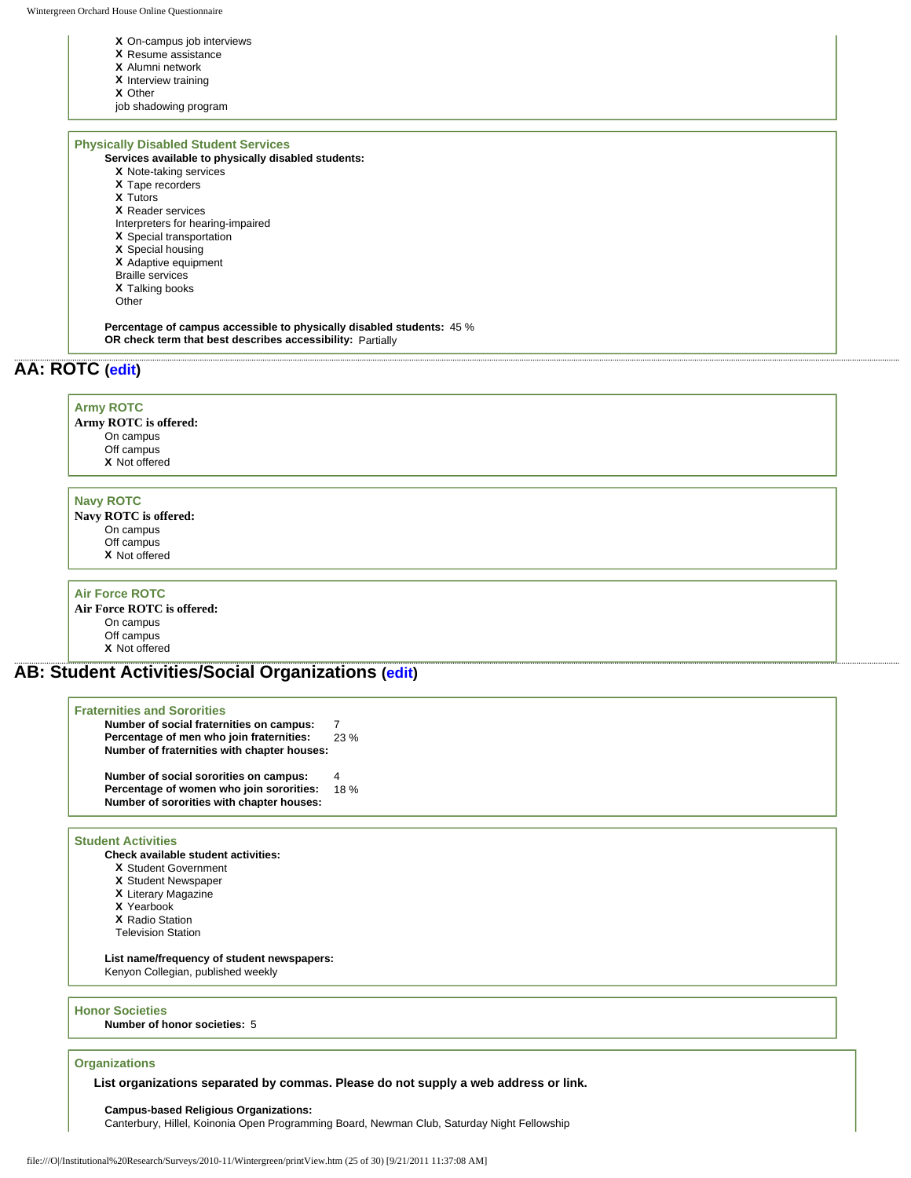#### **X** On-campus job interviews

- **X** Resume assistance
- **X** Alumni network
- **X** Interview training
- **X** Other
- job shadowing program

#### **Physically Disabled Student Services**

**Services available to physically disabled students:**

- **X** Note-taking services
- **X** Tape recorders
- **X** Tutors
- **X** Reader services
- Interpreters for hearing-impaired
- **X** Special transportation
- **X** Special housing
- **X** Adaptive equipment
- Braille services
- **X** Talking books
- Other

**Percentage of campus accessible to physically disabled students:** 45 % **OR check term that best describes accessibility:** Partially

# **AA: ROTC ([edit](http://survey.wgoh.com/secure/sectionAAView.htm))**

#### **Army ROTC**

**Army ROTC is offered:** On campus Off campus **X** Not offered

#### **Navy ROTC**

- **Navy ROTC is offered:** On campus Off campus
	- **X** Not offered

#### **Air Force ROTC**

**Air Force ROTC is offered:** On campus Off campus **X** Not offered

# **AB: Student Activities/Social Organizations ([edit\)](http://survey.wgoh.com/secure/sectionABView.htm)**

| <b>Fraternities and Sororities</b><br>Number of social fraternities on campus:<br>Percentage of men who join fraternities:<br>Number of fraternities with chapter houses: | 23%      |
|---------------------------------------------------------------------------------------------------------------------------------------------------------------------------|----------|
| Number of social sororities on campus:<br>Percentage of women who join sororities:<br>Number of sororities with chapter houses:                                           | 4<br>18% |

#### **Student Activities**

- **Check available student activities:**
	- **X** Student Government
	- **X** Student Newspaper
	- **X** Literary Magazine
	- **X** Yearbook
	- **X** Radio Station
	- Television Station

**List name/frequency of student newspapers:**  Kenyon Collegian, published weekly

#### **Honor Societies**

**Number of honor societies:** 5

### **Organizations**

**List organizations separated by commas. Please do not supply a web address or link.** 

#### **Campus-based Religious Organizations:**

Canterbury, Hillel, Koinonia Open Programming Board, Newman Club, Saturday Night Fellowship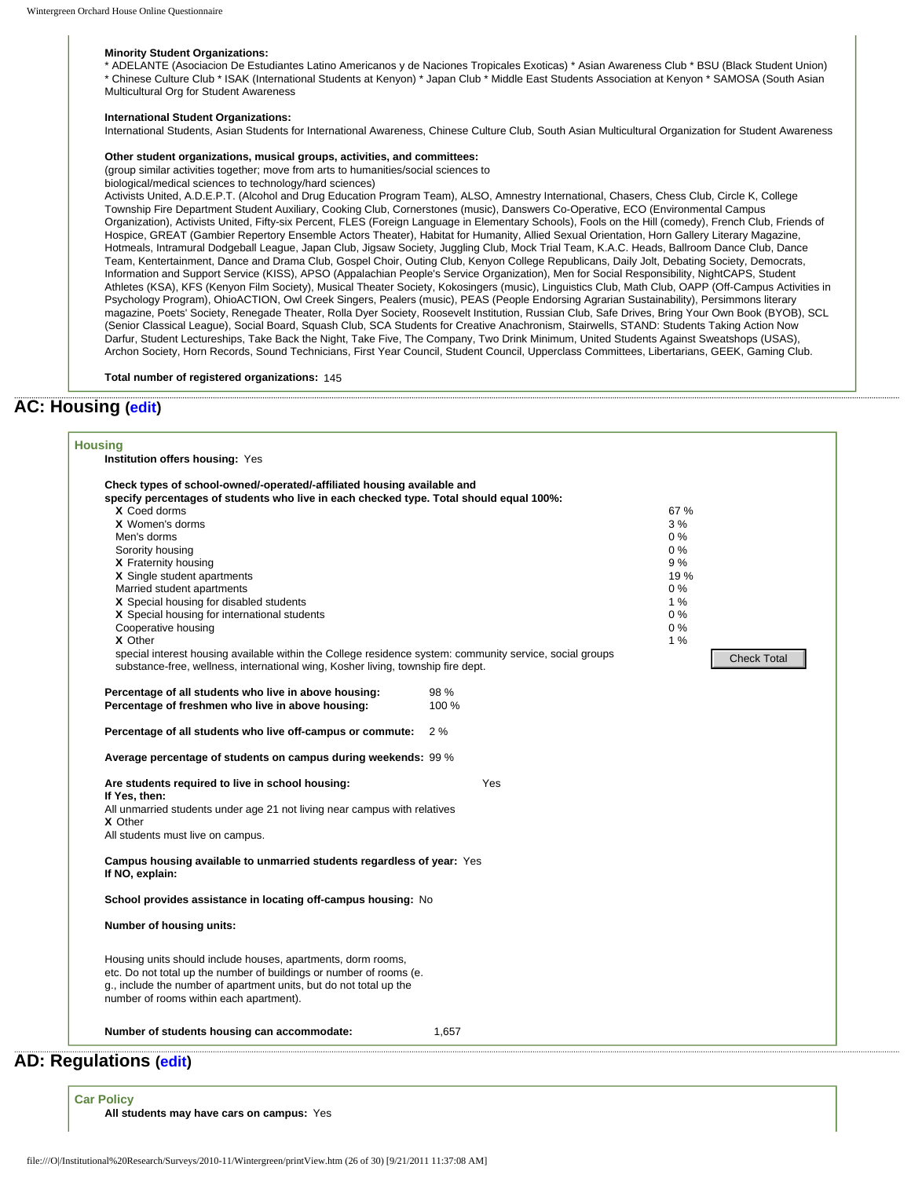#### **Minority Student Organizations:**

\* ADELANTE (Asociacion De Estudiantes Latino Americanos y de Naciones Tropicales Exoticas) \* Asian Awareness Club \* BSU (Black Student Union) \* Chinese Culture Club \* ISAK (International Students at Kenyon) \* Japan Club \* Middle East Students Association at Kenyon \* SAMOSA (South Asian

Multicultural Org for Student Awareness

#### **International Student Organizations:**

International Students, Asian Students for International Awareness, Chinese Culture Club, South Asian Multicultural Organization for Student Awareness

#### **Other student organizations, musical groups, activities, and committees:**

(group similar activities together; move from arts to humanities/social sciences to

biological/medical sciences to technology/hard sciences)

Activists United, A.D.E.P.T. (Alcohol and Drug Education Program Team), ALSO, Amnestry International, Chasers, Chess Club, Circle K, College Township Fire Department Student Auxiliary, Cooking Club, Cornerstones (music), Danswers Co-Operative, ECO (Environmental Campus Organization), Activists United, Fifty-six Percent, FLES (Foreign Language in Elementary Schools), Fools on the Hill (comedy), French Club, Friends of Hospice, GREAT (Gambier Repertory Ensemble Actors Theater), Habitat for Humanity, Allied Sexual Orientation, Horn Gallery Literary Magazine, Hotmeals, Intramural Dodgeball League, Japan Club, Jigsaw Society, Juggling Club, Mock Trial Team, K.A.C. Heads, Ballroom Dance Club, Dance Team, Kentertainment, Dance and Drama Club, Gospel Choir, Outing Club, Kenyon College Republicans, Daily Jolt, Debating Society, Democrats, Information and Support Service (KISS), APSO (Appalachian People's Service Organization), Men for Social Responsibility, NightCAPS, Student Athletes (KSA), KFS (Kenyon Film Society), Musical Theater Society, Kokosingers (music), Linguistics Club, Math Club, OAPP (Off-Campus Activities in Psychology Program), OhioACTION, Owl Creek Singers, Pealers (music), PEAS (People Endorsing Agrarian Sustainability), Persimmons literary magazine, Poets' Society, Renegade Theater, Rolla Dyer Society, Roosevelt Institution, Russian Club, Safe Drives, Bring Your Own Book (BYOB), SCL (Senior Classical League), Social Board, Squash Club, SCA Students for Creative Anachronism, Stairwells, STAND: Students Taking Action Now Darfur, Student Lectureships, Take Back the Night, Take Five, The Company, Two Drink Minimum, United Students Against Sweatshops (USAS), Archon Society, Horn Records, Sound Technicians, First Year Council, Student Council, Upperclass Committees, Libertarians, GEEK, Gaming Club.

**Total number of registered organizations:** 145

# **AC: Housing [\(edit](http://survey.wgoh.com/secure/sectionACView.htm))**

| Check types of school-owned/-operated/-affiliated housing available and                                                                                                                      |       |                    |  |
|----------------------------------------------------------------------------------------------------------------------------------------------------------------------------------------------|-------|--------------------|--|
| specify percentages of students who live in each checked type. Total should equal 100%:<br>X Coed dorms                                                                                      |       | 67 %               |  |
| X Women's dorms                                                                                                                                                                              |       | 3%                 |  |
| Men's dorms                                                                                                                                                                                  |       | 0%                 |  |
| Sorority housing                                                                                                                                                                             |       | 0%                 |  |
| X Fraternity housing                                                                                                                                                                         |       | 9%                 |  |
| X Single student apartments                                                                                                                                                                  |       | 19 %               |  |
| Married student apartments                                                                                                                                                                   |       | $0\%$              |  |
| X Special housing for disabled students                                                                                                                                                      |       | 1%                 |  |
| X Special housing for international students                                                                                                                                                 |       | $0\%$              |  |
| Cooperative housing                                                                                                                                                                          |       | 0%                 |  |
| X Other                                                                                                                                                                                      |       | 1%                 |  |
| special interest housing available within the College residence system: community service, social groups<br>substance-free, wellness, international wing, Kosher living, township fire dept. |       | <b>Check Total</b> |  |
| Percentage of all students who live in above housing:                                                                                                                                        | 98 %  |                    |  |
| Percentage of freshmen who live in above housing:                                                                                                                                            | 100 % |                    |  |
| Percentage of all students who live off-campus or commute:                                                                                                                                   | 2%    |                    |  |
| Average percentage of students on campus during weekends: 99 %                                                                                                                               |       |                    |  |
| Are students required to live in school housing:                                                                                                                                             | Yes   |                    |  |
| If Yes, then:                                                                                                                                                                                |       |                    |  |
| All unmarried students under age 21 not living near campus with relatives                                                                                                                    |       |                    |  |
| X Other                                                                                                                                                                                      |       |                    |  |
| All students must live on campus.                                                                                                                                                            |       |                    |  |
| Campus housing available to unmarried students regardless of year: Yes<br>If NO, explain:                                                                                                    |       |                    |  |
| School provides assistance in locating off-campus housing: No                                                                                                                                |       |                    |  |
| Number of housing units:                                                                                                                                                                     |       |                    |  |
| Housing units should include houses, apartments, dorm rooms,                                                                                                                                 |       |                    |  |
| etc. Do not total up the number of buildings or number of rooms (e.                                                                                                                          |       |                    |  |
| g., include the number of apartment units, but do not total up the                                                                                                                           |       |                    |  |
| number of rooms within each apartment).                                                                                                                                                      |       |                    |  |
| Number of students housing can accommodate:                                                                                                                                                  | 1,657 |                    |  |
| AD: Regulations (edit)                                                                                                                                                                       |       |                    |  |
|                                                                                                                                                                                              |       |                    |  |
|                                                                                                                                                                                              |       |                    |  |
| <b>Car Policy</b><br>All students may have cars on campus: Yes                                                                                                                               |       |                    |  |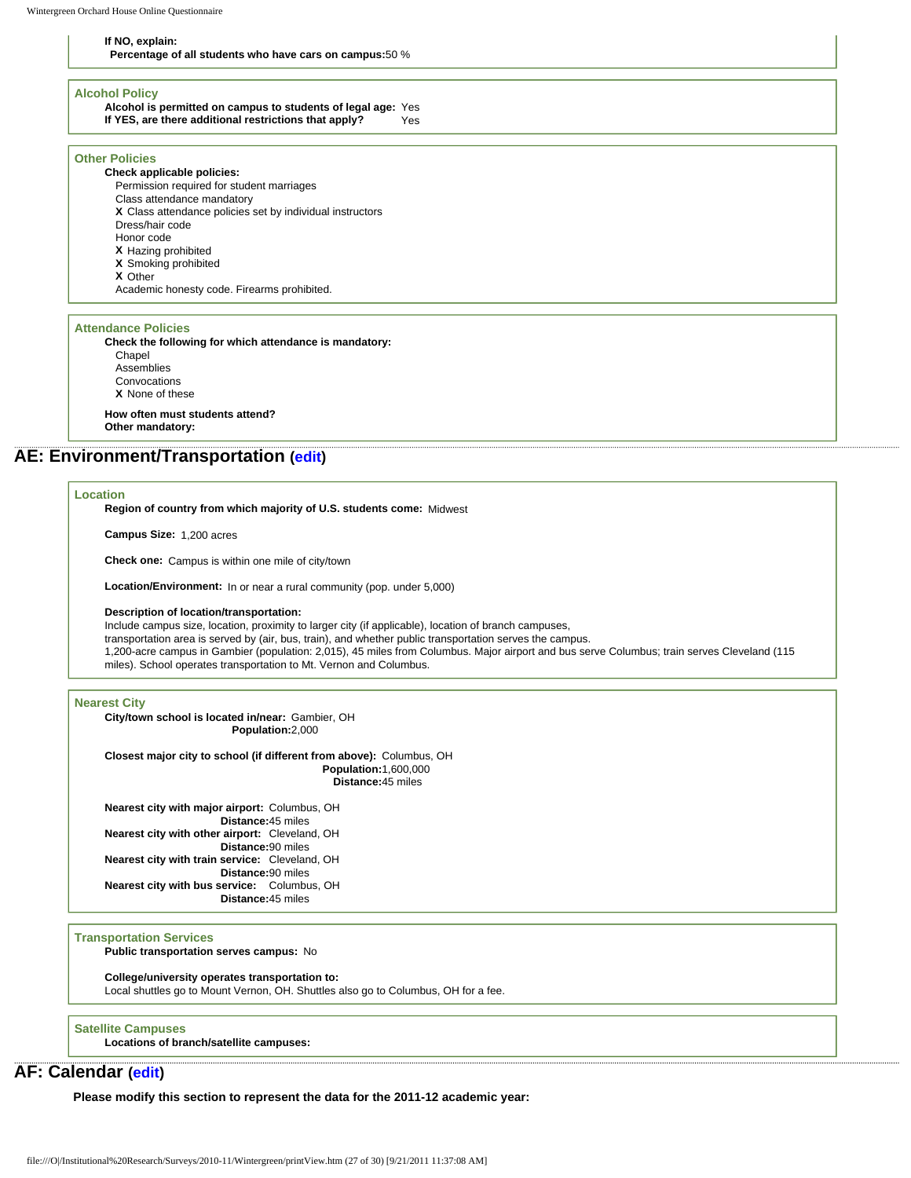#### **If NO, explain:**

**Percentage of all students who have cars on campus:**50 %

#### **Alcohol Policy**

**Alcohol is permitted on campus to students of legal age:** Yes **If YES, are there additional restrictions that apply?** Yes

#### **Other Policies**

**Check applicable policies:** Permission required for student marriages Class attendance mandatory **X** Class attendance policies set by individual instructors Dress/hair code Honor code **X** Hazing prohibited **X** Smoking prohibited **X** Other Academic honesty code. Firearms prohibited.

#### **Attendance Policies**

**Check the following for which attendance is mandatory: Chapel** Assemblies Convocations **X** None of these **How often must students attend? Other mandatory:** 

### **AE: Environment/Transportation [\(edit](http://survey.wgoh.com/secure/sectionAEView.htm))**

#### **Location**

**Region of country from which majority of U.S. students come:** Midwest

**Campus Size:** 1,200 acres

**Check one:** Campus is within one mile of city/town

**Location/Environment:** In or near a rural community (pop. under 5,000)

**Description of location/transportation:** 

Include campus size, location, proximity to larger city (if applicable), location of branch campuses,

transportation area is served by (air, bus, train), and whether public transportation serves the campus.

1,200-acre campus in Gambier (population: 2,015), 45 miles from Columbus. Major airport and bus serve Columbus; train serves Cleveland (115 miles). School operates transportation to Mt. Vernon and Columbus.

#### **Nearest City**

**City/town school is located in/near:** Gambier, OH **Population:**2,000

**Closest major city to school (if different from above):** Columbus, OH **Population:**1,600,000 **Distance:**45 miles

**Nearest city with major airport:** Columbus, OH **Distance:**45 miles **Nearest city with other airport:** Cleveland, OH **Distance:**90 miles **Nearest city with train service:** Cleveland, OH **Distance:**90 miles **Nearest city with bus service:** Columbus, OH **Distance:**45 miles

#### **Transportation Services**

**Public transportation serves campus:** No

**College/university operates transportation to:**

Local shuttles go to Mount Vernon, OH. Shuttles also go to Columbus, OH for a fee.

**Satellite Campuses**

**Locations of branch/satellite campuses:**

# **AF: Calendar [\(edit](http://survey.wgoh.com/secure/sectionAFView.htm))**

**Please modify this section to represent the data for the 2011-12 academic year:**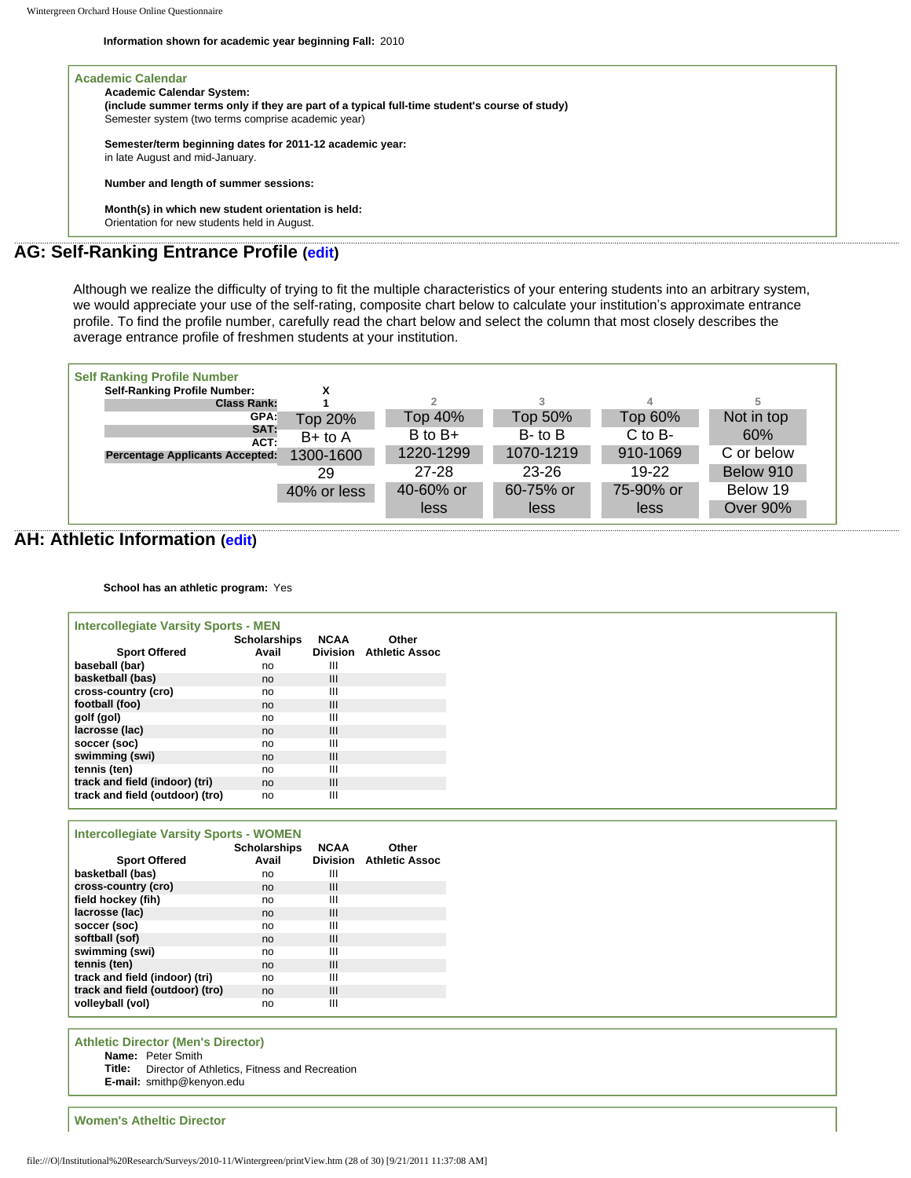**Information shown for academic year beginning Fall:** 2010

| <b>Academic Calendar System:</b>                                                              |
|-----------------------------------------------------------------------------------------------|
| (include summer terms only if they are part of a typical full-time student's course of study) |
| Semester system (two terms comprise academic year)                                            |
| Semester/term beginning dates for 2011-12 academic year:                                      |
| in late August and mid-January.                                                               |
| Number and length of summer sessions:                                                         |
| Month(s) in which new student orientation is held:                                            |
| Orientation for new students held in August.                                                  |

Although we realize the difficulty of trying to fit the multiple characteristics of your entering students into an arbitrary system, we would appreciate your use of the self-rating, composite chart below to calculate your institution's approximate entrance profile. To find the profile number, carefully read the chart below and select the column that most closely describes the average entrance profile of freshmen students at your institution.

| <b>Self Ranking Profile Number</b>     |             |             |                |             |                 |  |
|----------------------------------------|-------------|-------------|----------------|-------------|-----------------|--|
| <b>Self-Ranking Profile Number:</b>    |             |             |                |             |                 |  |
| <b>Class Rank:</b>                     |             |             |                | 4           | 5               |  |
| GPA:                                   | Top 20%     | Top 40%     | <b>Top 50%</b> | Top 60%     | Not in top      |  |
| SAT:<br>ACT:                           | $B+$ to $A$ | $B$ to $B+$ | $B$ - to $B$   | $C$ to $B-$ | 60%             |  |
| <b>Percentage Applicants Accepted:</b> | 1300-1600   | 1220-1299   | 1070-1219      | 910-1069    | C or below      |  |
|                                        | 29          | 27-28       | $23 - 26$      | 19-22       | Below 910       |  |
|                                        | 40% or less | 40-60% or   | 60-75% or      | 75-90% or   | Below 19        |  |
|                                        |             | less        | less           | less        | <b>Over 90%</b> |  |

# **AH: Athletic Information ([edit](http://survey.wgoh.com/secure/sectionAHView.htm))**

**School has an athletic program:** Yes

| <b>Intercollegiate Varsity Sports - MEN</b> |                     |                 |                       |
|---------------------------------------------|---------------------|-----------------|-----------------------|
|                                             | <b>Scholarships</b> | <b>NCAA</b>     | Other                 |
| <b>Sport Offered</b>                        | Avail               | <b>Division</b> | <b>Athletic Assoc</b> |
| baseball (bar)                              | no                  | Ш               |                       |
| basketball (bas)                            | no                  | III             |                       |
| cross-country (cro)                         | no                  | Ш               |                       |
| football (foo)                              | no                  | III             |                       |
| golf (gol)                                  | no                  | Ш               |                       |
| lacrosse (lac)                              | no                  | III             |                       |
| soccer (soc)                                | no                  | Ш               |                       |
| swimming (swi)                              | no                  | III             |                       |
| tennis (ten)                                | no                  | Ш               |                       |
| track and field (indoor) (tri)              | no                  | III             |                       |
| track and field (outdoor) (tro)             | no                  | Ш               |                       |

| <b>Intercollegiate Varsity Sports - WOMEN</b> |                     |             |                         |
|-----------------------------------------------|---------------------|-------------|-------------------------|
|                                               | <b>Scholarships</b> | <b>NCAA</b> | Other                   |
| <b>Sport Offered</b>                          | Avail               |             | Division Athletic Assoc |
| basketball (bas)                              | no                  | Ш           |                         |
| cross-country (cro)                           | no                  | Ш           |                         |
| field hockey (fih)                            | no                  | Ш           |                         |
| lacrosse (lac)                                | no                  | Ш           |                         |
| soccer (soc)                                  | no                  | Ш           |                         |
| softball (sof)                                | no                  | Ш           |                         |
| swimming (swi)                                | no                  | Ш           |                         |
| tennis (ten)                                  | no                  | Ш           |                         |
| track and field (indoor) (tri)                | no                  | Ш           |                         |
| track and field (outdoor) (tro)               | no                  | Ш           |                         |
| volleyball (vol)                              | no                  | Ш           |                         |

**Athletic Director (Men's Director) Name:** Peter Smith **Title:** Director of Athletics, Fitness and Recreation **E-mail:** smithp@kenyon.edu

**Women's Atheltic Director**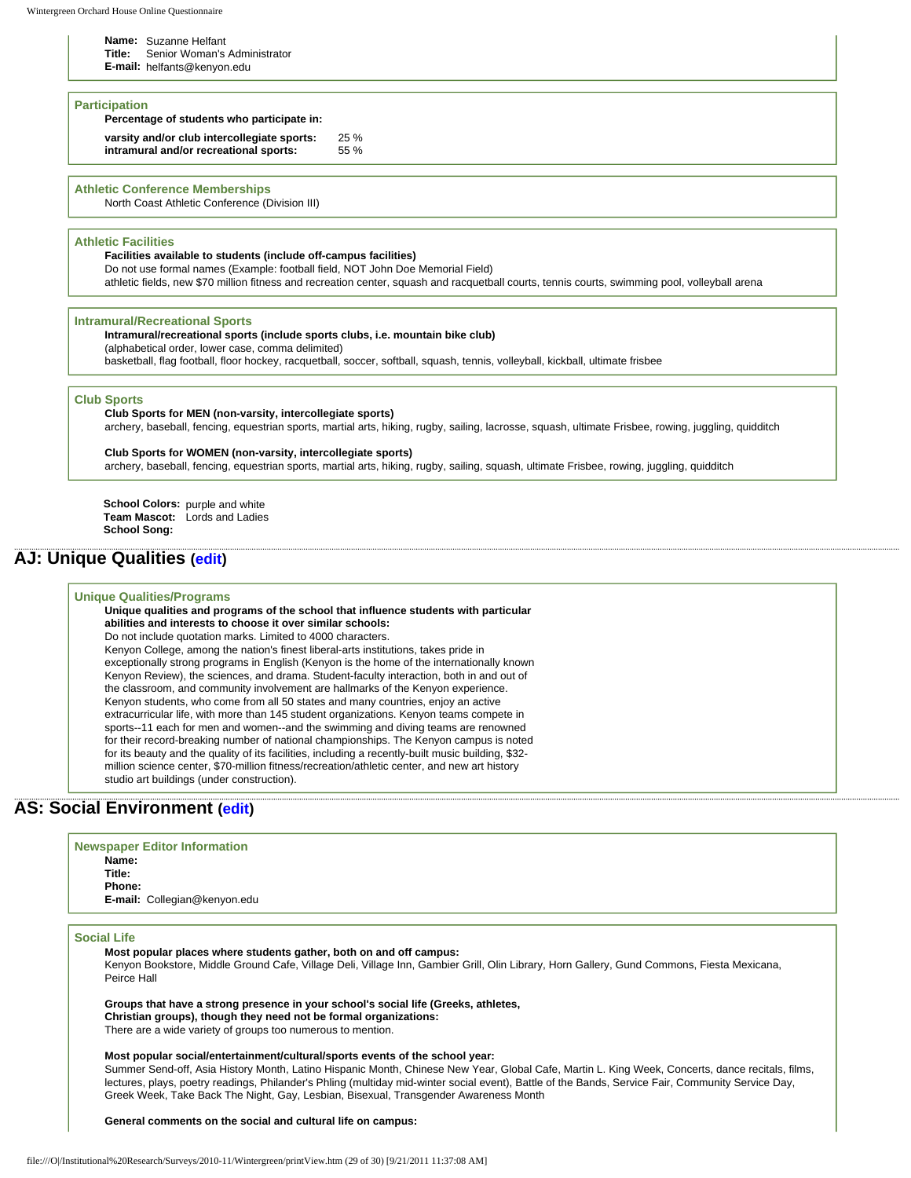**Name:** Suzanne Helfant

**Title:** Senior Woman's Administrator

**E-mail:** helfants@kenyon.edu

#### **Participation**

### **Percentage of students who participate in:**

**varsity and/or club intercollegiate sports:** 25 % **intramural and/or recreational sports:** 55 %

### **Athletic Conference Memberships**

North Coast Athletic Conference (Division III)

#### **Athletic Facilities**

**Facilities available to students (include off-campus facilities)** 

Do not use formal names (Example: football field, NOT John Doe Memorial Field)

athletic fields, new \$70 million fitness and recreation center, squash and racquetball courts, tennis courts, swimming pool, volleyball arena

#### **Intramural/Recreational Sports**

#### **Intramural/recreational sports (include sports clubs, i.e. mountain bike club)**

(alphabetical order, lower case, comma delimited)

basketball, flag football, floor hockey, racquetball, soccer, softball, squash, tennis, volleyball, kickball, ultimate frisbee

#### **Club Sports**

**Club Sports for MEN (non-varsity, intercollegiate sports)**  archery, baseball, fencing, equestrian sports, martial arts, hiking, rugby, sailing, lacrosse, squash, ultimate Frisbee, rowing, juggling, quidditch

#### **Club Sports for WOMEN (non-varsity, intercollegiate sports)**

archery, baseball, fencing, equestrian sports, martial arts, hiking, rugby, sailing, squash, ultimate Frisbee, rowing, juggling, quidditch

**School Colors:** purple and white **Team Mascot:** Lords and Ladies **School Song:** 

# **AJ: Unique Qualities [\(edit](http://survey.wgoh.com/secure/sectionAJView.htm))**

#### **Unique Qualities/Programs**

**Unique qualities and programs of the school that influence students with particular abilities and interests to choose it over similar schools:**  Do not include quotation marks. Limited to 4000 characters. Kenyon College, among the nation's finest liberal-arts institutions, takes pride in exceptionally strong programs in English (Kenyon is the home of the internationally known Kenyon Review), the sciences, and drama. Student-faculty interaction, both in and out of the classroom, and community involvement are hallmarks of the Kenyon experience. Kenyon students, who come from all 50 states and many countries, enjoy an active extracurricular life, with more than 145 student organizations. Kenyon teams compete in

sports--11 each for men and women--and the swimming and diving teams are renowned for their record-breaking number of national championships. The Kenyon campus is noted for its beauty and the quality of its facilities, including a recently-built music building, \$32 million science center, \$70-million fitness/recreation/athletic center, and new art history studio art buildings (under construction).

# **AS: Social Environment ([edit\)](http://survey.wgoh.com/secure/sectionASView.htm)**

| <b>Newspaper Editor Information</b> |
|-------------------------------------|
| Name:                               |
| Title:                              |
| Phone:                              |
| E-mail: Collegian@kenyon.edu        |
|                                     |
|                                     |

#### **Social Life**

**Most popular places where students gather, both on and off campus:**  Kenyon Bookstore, Middle Ground Cafe, Village Deli, Village Inn, Gambier Grill, Olin Library, Horn Gallery, Gund Commons, Fiesta Mexicana, Peirce Hall

**Groups that have a strong presence in your school's social life (Greeks, athletes, Christian groups), though they need not be formal organizations:** 

There are a wide variety of groups too numerous to mention.

#### **Most popular social/entertainment/cultural/sports events of the school year:**

Summer Send-off, Asia History Month, Latino Hispanic Month, Chinese New Year, Global Cafe, Martin L. King Week, Concerts, dance recitals, films, lectures, plays, poetry readings, Philander's Phling (multiday mid-winter social event), Battle of the Bands, Service Fair, Community Service Day, Greek Week, Take Back The Night, Gay, Lesbian, Bisexual, Transgender Awareness Month

**General comments on the social and cultural life on campus:**